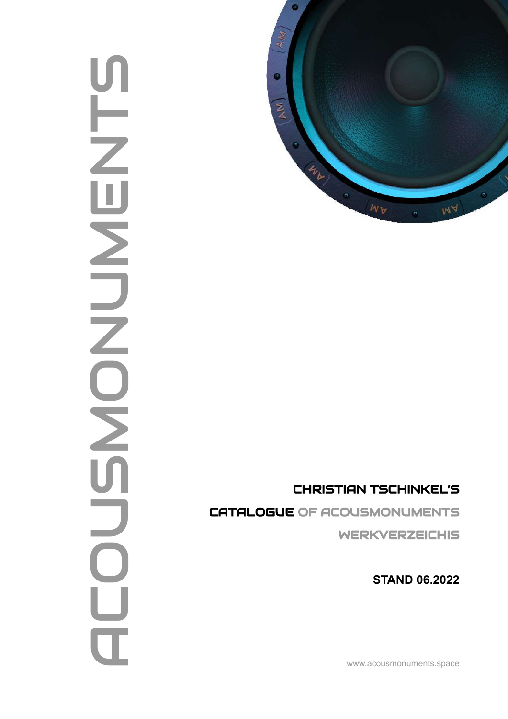# **SHAMENTS AND** Ū  $\overline{Z}$  $\blacksquare$ NUNCIS  $\frac{\Box}{\Box}$



## CHRISTIAN TSCHINKEL'S

CATALOGUE OF ACOUSMONUMENTS WERKVERZEICHIS

**STAND 06.2022**

www.acousmonuments.space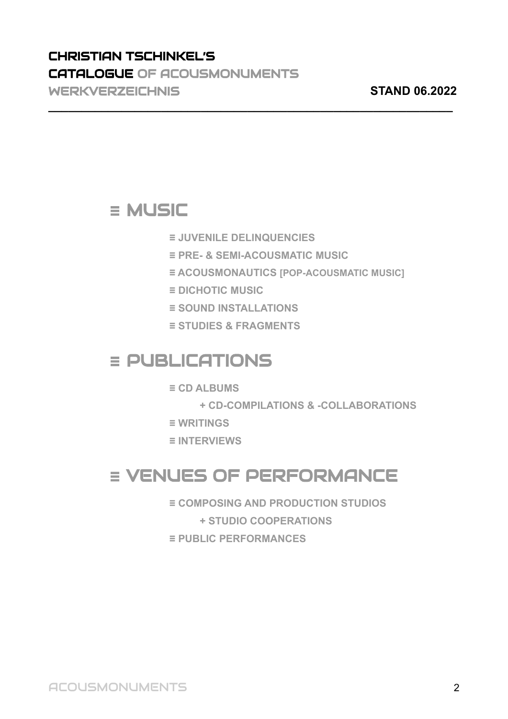## CHRISTIAN TSCHINKEL'S CATALOGUE OF ACOUSMONUMENTS WERKVERZEICHNIS **STAND 06.2022**

## **≡** MUSIC

**≡ JUVENILE DELINQUENCIES**

**\_\_\_\_\_\_\_\_\_\_\_\_\_\_\_\_\_\_\_\_\_\_\_\_\_\_\_\_\_\_\_\_\_\_\_\_\_\_\_\_\_\_\_\_\_\_\_\_\_\_\_\_\_\_\_\_\_\_\_\_\_**

- **≡ PRE- & SEMI-ACOUSMATIC MUSIC**
- **≡ ACOUSMONAUTICS [POP-ACOUSMATIC MUSIC]**
- **≡ DICHOTIC MUSIC**
- **≡ SOUND INSTALLATIONS**
- **≡ STUDIES & FRAGMENTS**

## **≡** PUBLICATIONS

- **≡ CD ALBUMS**
	- **+ CD-COMPILATIONS & -COLLABORATIONS**
- **≡ WRITINGS**
- **≡ INTERVIEWS**

## **≡** VENUES OF PERFORMANCE

- **≡ COMPOSING AND PRODUCTION STUDIOS**
	- **+ STUDIO COOPERATIONS**
- **≡ PUBLIC PERFORMANCES**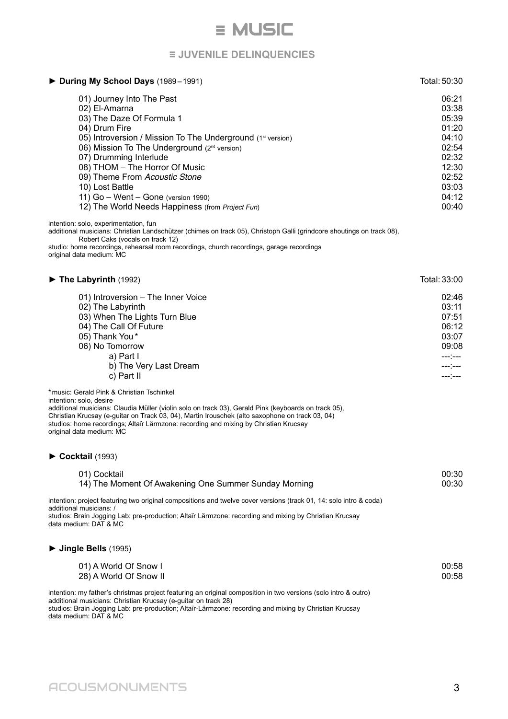## **≡** MUSIC

## **≡ JUVENILE DELINQUENCIES**

| During My School Days (1989-1991)                                                                                                                                                                                                                                                                                                                                                                                                                                                                                                                                                                                                                                                                                                | Total: 50:30                                                                                             |
|----------------------------------------------------------------------------------------------------------------------------------------------------------------------------------------------------------------------------------------------------------------------------------------------------------------------------------------------------------------------------------------------------------------------------------------------------------------------------------------------------------------------------------------------------------------------------------------------------------------------------------------------------------------------------------------------------------------------------------|----------------------------------------------------------------------------------------------------------|
| 01) Journey Into The Past<br>02) El-Amarna<br>03) The Daze Of Formula 1<br>04) Drum Fire<br>05) Introversion / Mission To The Underground (1st version)<br>06) Mission To The Underground (2 <sup>nd</sup> version)<br>07) Drumming Interlude<br>08) THOM - The Horror Of Music<br>09) Theme From Acoustic Stone<br>10) Lost Battle<br>11) Go - Went - Gone (version 1990)<br>12) The World Needs Happiness (from Project Fun)<br>intention: solo, experimentation, fun<br>additional musicians: Christian Landschützer (chimes on track 05), Christoph Galli (grindcore shoutings on track 08),<br>Robert Caks (vocals on track 12)<br>studio: home recordings, rehearsal room recordings, church recordings, garage recordings | 06:21<br>03:38<br>05:39<br>01:20<br>04:10<br>02:54<br>02:32<br>12:30<br>02:52<br>03:03<br>04:12<br>00:40 |
| original data medium: MC                                                                                                                                                                                                                                                                                                                                                                                                                                                                                                                                                                                                                                                                                                         |                                                                                                          |
| $\triangleright$ The Labyrinth (1992)                                                                                                                                                                                                                                                                                                                                                                                                                                                                                                                                                                                                                                                                                            | Total: 33:00                                                                                             |
| 01) Introversion - The Inner Voice<br>02) The Labyrinth<br>03) When The Lights Turn Blue<br>04) The Call Of Future<br>05) Thank You*<br>06) No Tomorrow<br>a) Part I<br>b) The Very Last Dream<br>c) Part II                                                                                                                                                                                                                                                                                                                                                                                                                                                                                                                     | 02:46<br>03:11<br>07:51<br>06:12<br>03:07<br>09:08<br>---:---<br>---:---<br>1.11                         |
| * music: Gerald Pink & Christian Tschinkel<br>intention: solo, desire<br>additional musicians: Claudia Müller (violin solo on track 03), Gerald Pink (keyboards on track 05),<br>Christian Krucsay (e-guitar on Track 03, 04), Martin Irouschek (alto saxophone on track 03, 04)<br>studios: home recordings; Altaïr Lärmzone: recording and mixing by Christian Krucsay<br>original data medium: MC                                                                                                                                                                                                                                                                                                                             |                                                                                                          |
| $\blacktriangleright$ Cocktail (1993)                                                                                                                                                                                                                                                                                                                                                                                                                                                                                                                                                                                                                                                                                            |                                                                                                          |
| 01) Cocktail<br>14) The Moment Of Awakening One Summer Sunday Morning                                                                                                                                                                                                                                                                                                                                                                                                                                                                                                                                                                                                                                                            | 00:30<br>00:30                                                                                           |
| intention: project featuring two original compositions and twelve cover versions (track 01, 14: solo intro & coda)<br>additional musicians: /<br>studios: Brain Jogging Lab: pre-production; Altaïr Lärmzone: recording and mixing by Christian Krucsay<br>data medium: DAT & MC                                                                                                                                                                                                                                                                                                                                                                                                                                                 |                                                                                                          |
| $\blacktriangleright$ Jingle Bells (1995)                                                                                                                                                                                                                                                                                                                                                                                                                                                                                                                                                                                                                                                                                        |                                                                                                          |
| 01) A World Of Snow I<br>28) A World Of Snow II                                                                                                                                                                                                                                                                                                                                                                                                                                                                                                                                                                                                                                                                                  | 00:58<br>00:58                                                                                           |
| intention: my father's christmas project featuring an original composition in two versions (solo intro & outro)<br>additional musicians: Christian Krucsay (e-guitar on track 28)<br>studios: Brain Jogging Lab: pre-production; Altaïr-Lärmzone: recording and mixing by Christian Krucsay<br>data medium: DAT & MC                                                                                                                                                                                                                                                                                                                                                                                                             |                                                                                                          |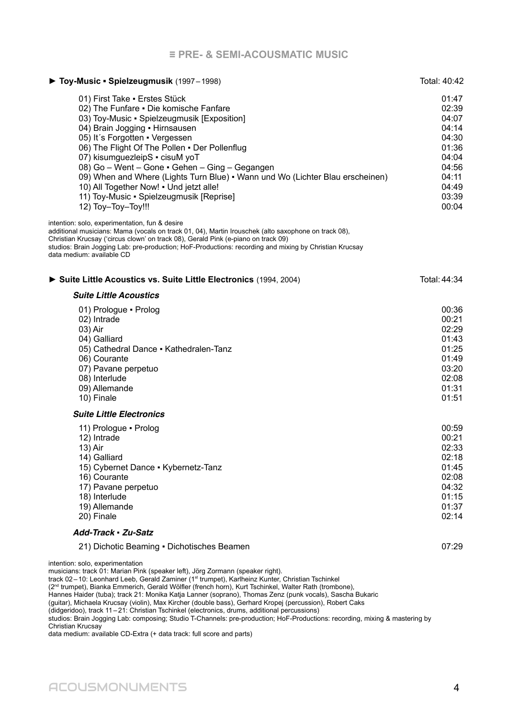| Toy-Music - Spielzeugmusik (1997-1998)                                                                                                                                                                                                                                                                                                                                                                                                                                                                                        | Total: 40:42                                                                                             |
|-------------------------------------------------------------------------------------------------------------------------------------------------------------------------------------------------------------------------------------------------------------------------------------------------------------------------------------------------------------------------------------------------------------------------------------------------------------------------------------------------------------------------------|----------------------------------------------------------------------------------------------------------|
| 01) First Take - Erstes Stück<br>02) The Funfare . Die komische Fanfare<br>03) Toy-Music · Spielzeugmusik [Exposition]<br>04) Brain Jogging • Hirnsausen<br>05) It's Forgotten · Vergessen<br>06) The Flight Of The Pollen . Der Pollenflug<br>07) kisumguezleipS · cisuM yoT<br>08) Go - Went - Gone • Gehen - Ging - Gegangen<br>09) When and Where (Lights Turn Blue) • Wann und Wo (Lichter Blau erscheinen)<br>10) All Together Now! . Und jetzt alle!<br>11) Toy-Music · Spielzeugmusik [Reprise]<br>12) Toy-Toy-Toy!!! | 01:47<br>02:39<br>04:07<br>04:14<br>04:30<br>01:36<br>04:04<br>04:56<br>04:11<br>04:49<br>03:39<br>00:04 |
| intention: solo, experimentation, fun & desire<br>additional musicians: Mama (vocals on track 01, 04), Martin Irouschek (alto saxophone on track 08),<br>Christian Krucsay ('circus clown' on track 08), Gerald Pink (e-piano on track 09)<br>studios: Brain Jogging Lab: pre-production; HoF-Productions: recording and mixing by Christian Krucsay<br>data medium: available CD                                                                                                                                             |                                                                                                          |
| Suite Little Acoustics vs. Suite Little Electronics (1994, 2004)                                                                                                                                                                                                                                                                                                                                                                                                                                                              | Total: 44:34                                                                                             |
| <b>Suite Little Acoustics</b>                                                                                                                                                                                                                                                                                                                                                                                                                                                                                                 |                                                                                                          |
| 01) Prologue · Prolog<br>02) Intrade<br>03) Air<br>04) Galliard<br>05) Cathedral Dance - Kathedralen-Tanz<br>06) Courante<br>07) Pavane perpetuo<br>08) Interlude<br>09) Allemande<br>10) Finale                                                                                                                                                                                                                                                                                                                              | 00:36<br>00:21<br>02:29<br>01:43<br>01:25<br>01:49<br>03:20<br>02:08<br>01:31<br>01:51                   |
| <b>Suite Little Electronics</b>                                                                                                                                                                                                                                                                                                                                                                                                                                                                                               |                                                                                                          |
| 11) Prologue · Prolog<br>12) Intrade<br>13) Air<br>14) Galliard<br>15) Cybernet Dance · Kybernetz-Tanz<br>16) Courante<br>17) Pavane perpetuo<br>18) Interlude<br>19) Allemande<br>20) Finale                                                                                                                                                                                                                                                                                                                                 | 00:59<br>00:21<br>02:33<br>02:18<br>01:45<br>02:08<br>04:32<br>01:15<br>01:37<br>02:14                   |
| Add-Track · Zu-Satz                                                                                                                                                                                                                                                                                                                                                                                                                                                                                                           |                                                                                                          |
| 21) Dichotic Beaming · Dichotisches Beamen                                                                                                                                                                                                                                                                                                                                                                                                                                                                                    | 07:29                                                                                                    |
| intention: solo, experimentation<br>musicians: track 01: Marian Pink (speaker left), Jörg Zormann (speaker right).                                                                                                                                                                                                                                                                                                                                                                                                            |                                                                                                          |

track 02–10: Leonhard Leeb, Gerald Zaminer (1st trumpet), Karlheinz Kunter, Christian Tschinkel

(2<sup>nd</sup> trumpet), Bianka Emmerich, Gerald Wölfler (french horn), Kurt Tschinkel, Walter Rath (trombone),

Hannes Haider (tuba); track 21: Monika Katja Lanner (soprano), Thomas Zenz (punk vocals), Sascha Bukaric

(guitar), Michaela Krucsay (violin), Max Kircher (double bass), Gerhard Kropej (percussion), Robert Caks

(didgeridoo), track 11 –21: Christian Tschinkel (electronics, drums, additional percussions)

studios: Brain Jogging Lab: composing; Studio T-Channels: pre-production; HoF-Productions: recording, mixing & mastering by Christian Krucsay

data medium: available CD-Extra (+ data track: full score and parts)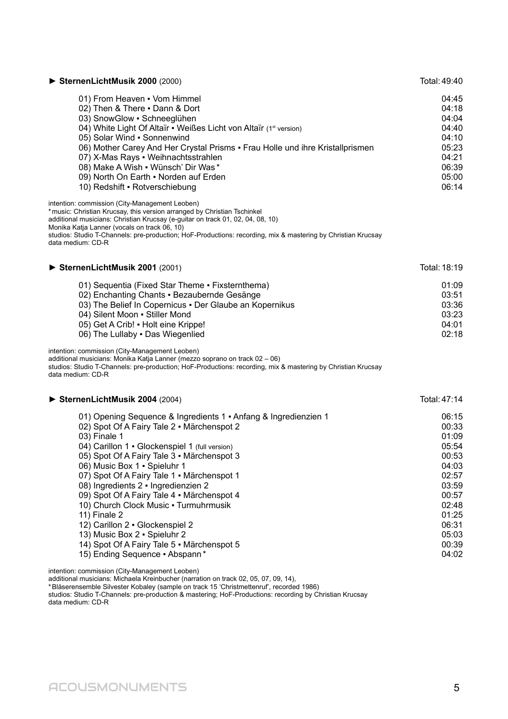| SternenLichtMusik 2000 (2000)                                                                                                                                                                                                                                                                                                                                                                                                                                                                                                                                                                                | Total: 49:40                                                                                                                        |
|--------------------------------------------------------------------------------------------------------------------------------------------------------------------------------------------------------------------------------------------------------------------------------------------------------------------------------------------------------------------------------------------------------------------------------------------------------------------------------------------------------------------------------------------------------------------------------------------------------------|-------------------------------------------------------------------------------------------------------------------------------------|
| 01) From Heaven . Vom Himmel<br>02) Then & There . Dann & Dort<br>03) SnowGlow · Schneeglühen<br>04) White Light Of Altaïr • Weißes Licht von Altaïr (1st version)<br>05) Solar Wind · Sonnenwind<br>06) Mother Carey And Her Crystal Prisms • Frau Holle und ihre Kristallprismen<br>07) X-Mas Rays . Weihnachtsstrahlen<br>08) Make A Wish . Wünsch' Dir Was*<br>09) North On Earth . Norden auf Erden<br>10) Redshift · Rotverschiebung<br>intention: commission (City-Management Leoben)                                                                                                                 | 04:45<br>04:18<br>04:04<br>04:40<br>04:10<br>05:23<br>04:21<br>06:39<br>05:00<br>06:14                                              |
| * music: Christian Krucsay, this version arranged by Christian Tschinkel<br>additional musicians: Christian Krucsay (e-guitar on track 01, 02, 04, 08, 10)<br>Monika Katja Lanner (vocals on track 06, 10)<br>studios: Studio T-Channels: pre-production; HoF-Productions: recording, mix & mastering by Christian Krucsay<br>data medium: CD-R                                                                                                                                                                                                                                                              |                                                                                                                                     |
| SternenLichtMusik 2001 (2001)                                                                                                                                                                                                                                                                                                                                                                                                                                                                                                                                                                                | Total: 18:19                                                                                                                        |
| 01) Sequentia (Fixed Star Theme · Fixsternthema)<br>02) Enchanting Chants · Bezaubernde Gesänge<br>03) The Belief In Copernicus . Der Glaube an Kopernikus<br>04) Silent Moon - Stiller Mond<br>05) Get A Crib! • Holt eine Krippe!<br>06) The Lullaby . Das Wiegenlied<br>intention: commission (City-Management Leoben)                                                                                                                                                                                                                                                                                    | 01:09<br>03:51<br>03:36<br>03:23<br>04:01<br>02:18                                                                                  |
| additional musicians: Monika Katja Lanner (mezzo soprano on track 02 - 06)<br>studios: Studio T-Channels: pre-production; HoF-Productions: recording, mix & mastering by Christian Krucsay<br>data medium: CD-R                                                                                                                                                                                                                                                                                                                                                                                              |                                                                                                                                     |
| SternenLichtMusik 2004 (2004)                                                                                                                                                                                                                                                                                                                                                                                                                                                                                                                                                                                | Total: 47:14                                                                                                                        |
| 01) Opening Sequence & Ingredients 1 . Anfang & Ingredienzien 1<br>02) Spot Of A Fairy Tale 2 · Märchenspot 2<br>03) Finale 1<br>04) Carillon 1 - Glockenspiel 1 (full version)<br>05) Spot Of A Fairy Tale 3 · Märchenspot 3<br>06) Music Box 1 · Spieluhr 1<br>07) Spot Of A Fairy Tale 1 . Märchenspot 1<br>08) Ingredients 2 · Ingredienzien 2<br>09) Spot Of A Fairy Tale 4 · Märchenspot 4<br>10) Church Clock Music - Turmuhrmusik<br>11) Finale 2<br>12) Carillon 2 · Glockenspiel 2<br>13) Music Box 2 - Spieluhr 2<br>14) Spot Of A Fairy Tale 5 · Märchenspot 5<br>15) Ending Sequence - Abspann* | 06:15<br>00:33<br>01:09<br>05:54<br>00:53<br>04:03<br>02:57<br>03:59<br>00:57<br>02:48<br>01:25<br>06:31<br>05:03<br>00:39<br>04:02 |
| intention: commission (City-Management Leoben)                                                                                                                                                                                                                                                                                                                                                                                                                                                                                                                                                               |                                                                                                                                     |

intention: commission (City-Management Leoben)

additional musicians: Michaela Kreinbucher (narration on track 02, 05, 07, 09, 14),

\*Bläserensemble Silvester Kobaley (sample on track 15 'Christmettenruf', recorded 1986) studios: Studio T-Channels: pre-production & mastering; HoF-Productions: recording by Christian Krucsay data medium: CD-R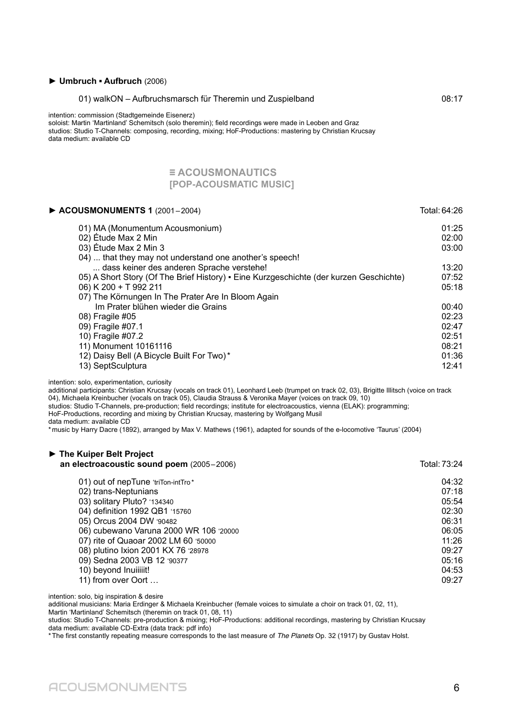#### **► Umbruch ▪ Aufbruch** (2006)

#### 01) walkON – Aufbruchsmarsch für Theremin und Zuspielband 08:17

intention: commission (Stadtgemeinde Eisenerz)

soloist: Martin 'Martinland' Schemitsch (solo theremin); field recordings were made in Leoben and Graz studios: Studio T-Channels: composing, recording, mixing; HoF-Productions: mastering by Christian Krucsay data medium: available CD

#### **≡ ACOUSMONAUTICS [POP-ACOUSMATIC MUSIC]**

| $\triangleright$ ACOUSMONUMENTS 1 (2001-2004)                                          | Total: 64:26 |
|----------------------------------------------------------------------------------------|--------------|
| 01) MA (Monumentum Acousmonium)                                                        | 01:25        |
| 02) Étude Max 2 Min                                                                    | 02:00        |
| 03) Étude Max 2 Min 3                                                                  | 03:00        |
| 04)  that they may not understand one another's speech!                                |              |
| dass keiner des anderen Sprache verstehe!                                              | 13:20        |
| 05) A Short Story (Of The Brief History) · Eine Kurzgeschichte (der kurzen Geschichte) | 07:52        |
| 06) K 200 + T 992 211                                                                  | 05:18        |
| 07) The Körnungen In The Prater Are In Bloom Again                                     |              |
| Im Prater blühen wieder die Grains                                                     | 00:40        |
| 08) Fragile #05                                                                        | 02:23        |
| 09) Fragile #07.1                                                                      | 02:47        |
| 10) Fragile #07.2                                                                      | 02:51        |
| 11) Monument 10161116                                                                  | 08:21        |
| 12) Daisy Bell (A Bicycle Built For Two)*                                              | 01:36        |
| 13) SeptSculptura                                                                      | 12:41        |

intention: solo, experimentation, curiosity

additional participants: Christian Krucsay (vocals on track 01), Leonhard Leeb (trumpet on track 02, 03), Brigitte Illitsch (voice on track 04), Michaela Kreinbucher (vocals on track 05), Claudia Strauss & Veronika Mayer (voices on track 09, 10)

studios: Studio T-Channels, pre-production; field recordings; institute for electroacoustics, vienna (ELAK): programming;

HoF-Productions, recording and mixing by Christian Krucsay, mastering by Wolfgang Musil

data medium: available CD

\*music by Harry Dacre (1892), arranged by Max V. Mathews (1961), adapted for sounds of the e-locomotive 'Taurus' (2004)

| The Kuiper Belt Project<br>an electroacoustic sound poem (2005-2006) | Total: 73:24 |
|----------------------------------------------------------------------|--------------|
| 01) out of nepTune 'triTon-intTro*                                   | 04:32        |
| 02) trans-Neptunians                                                 | 07:18        |
| 03) solitary Pluto? '134340                                          | 05:54        |
| 04) definition 1992 QB1 '15760                                       | 02:30        |
| 05) Orcus 2004 DW '90482                                             | 06:31        |
| 06) cubewano Varuna 2000 WR 106 '20000                               | 06:05        |
| 07) rite of Quaoar 2002 LM 60 '50000                                 | 11:26        |
| 08) plutino Ixion 2001 KX 76 '28978                                  | 09:27        |
| 09) Sedna 2003 VB 12 '90377                                          | 05:16        |
| 10) beyond Inuiiiiit!                                                | 04:53        |
| 11) from over Oort                                                   | 09:27        |

intention: solo, big inspiration & desire

additional musicians: Maria Erdinger & Michaela Kreinbucher (female voices to simulate a choir on track 01, 02, 11), Martin 'Martinland' Schemitsch (theremin on track 01, 08, 11)

studios: Studio T-Channels: pre-production & mixing; HoF-Productions: additional recordings, mastering by Christian Krucsay data medium: available CD-Extra (data track: pdf info)

\*The first constantly repeating measure corresponds to the last measure of The Planets Op. 32 (1917) by Gustav Holst.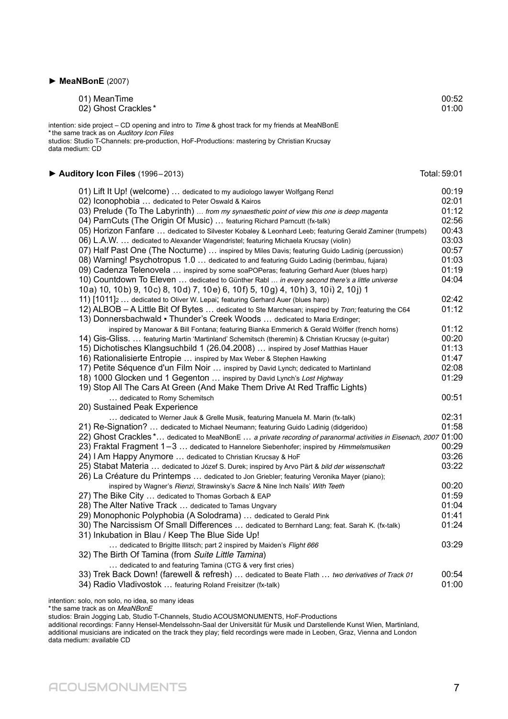#### **► MeaNBonE** (2007)

| 01) MeanTime                                                                                                                                             | 00:52 |
|----------------------------------------------------------------------------------------------------------------------------------------------------------|-------|
| 02) Ghost Crackles*                                                                                                                                      | 01:00 |
| intention: side project – CD opening and intro to <i>Time &amp;</i> ghost track for my friends at MeaNBonE<br>* the same track as on Auditory Icon Files |       |

studios: Studio T-Channels: pre-production, HoF-Productions: mastering by Christian Krucsay data medium: CD

#### ► Auditory Icon Files (1996–2013) Total: 59:01

| 01) Lift It Up! (welcome)  dedicated to my audiologo lawyer Wolfgang Renzl                                                                                                       | 00:19 |
|----------------------------------------------------------------------------------------------------------------------------------------------------------------------------------|-------|
| 02) Iconophobia  dedicated to Peter Oswald & Kairos                                                                                                                              | 02:01 |
| 03) Prelude (To The Labyrinth)  from my synaesthetic point of view this one is deep magenta                                                                                      | 01:12 |
| 04) ParnCuts (The Origin Of Music)  featuring Richard Parncutt (fx-talk)                                                                                                         | 02:56 |
| 05) Horizon Fanfare  dedicated to Silvester Kobaley & Leonhard Leeb; featuring Gerald Zaminer (trumpets)                                                                         | 00:43 |
| 06) L.A.W.  dedicated to Alexander Wagendristel; featuring Michaela Krucsay (violin)                                                                                             | 03:03 |
| 07) Half Past One (The Nocturne)  inspired by Miles Davis; featuring Guido Ladinig (percussion)                                                                                  | 00:57 |
| 08) Warning! Psychotropus 1.0  dedicated to and featuring Guido Ladinig (berimbau, fujara)                                                                                       | 01:03 |
| 09) Cadenza Telenovela  inspired by some soaPOPeras; featuring Gerhard Auer (blues harp)                                                                                         | 01:19 |
| 10) Countdown To Eleven  dedicated to Günther Rabl  in every second there's a little universe<br>10a) 10, 10b) 9, 10c) 8, 10d) 7, 10e) 6, 10f) 5, 10g) 4, 10h) 3, 10i) 2, 10j) 1 | 04:04 |
| 11) [1011]2  dedicated to Oliver W. Lepai; featuring Gerhard Auer (blues harp)                                                                                                   | 02:42 |
| 12) ALBOB - A Little Bit Of Bytes  dedicated to Ste Marchesan; inspired by Tron; featuring the C64                                                                               | 01:12 |
| 13) Donnersbachwald • Thunder's Creek Woods  dedicated to Maria Erdinger;                                                                                                        |       |
| inspired by Manowar & Bill Fontana; featuring Bianka Emmerich & Gerald Wölfler (french horns)                                                                                    | 01:12 |
| 14) Gis-Gliss.  featuring Martin 'Martinland' Schemitsch (theremin) & Christian Krucsay (e-guitar)                                                                               | 00:20 |
| 15) Dichotisches Klangsuchbild 1 (26.04.2008)  inspired by Josef Matthias Hauer                                                                                                  | 01:13 |
| 16) Rationalisierte Entropie  inspired by Max Weber & Stephen Hawking                                                                                                            | 01:47 |
| 17) Petite Séquence d'un Film Noir  inspired by David Lynch; dedicated to Martinland                                                                                             | 02:08 |
| 18) 1000 Glocken und 1 Gegenton  inspired by David Lynch's Lost Highway                                                                                                          | 01:29 |
| 19) Stop All The Cars At Green (And Make Them Drive At Red Traffic Lights)                                                                                                       |       |
| dedicated to Romy Schemitsch                                                                                                                                                     | 00:51 |
| 20) Sustained Peak Experience                                                                                                                                                    | 02:31 |
| dedicated to Werner Jauk & Grelle Musik, featuring Manuela M. Marin (fx-talk)<br>21) Re-Signation?  dedicated to Michael Neumann; featuring Guido Ladinig (didgeridoo)           | 01:58 |
| 22) Ghost Crackles * dedicated to MeaNBonE  a private recording of paranormal activities in Eisenach, 2007 01:00                                                                 |       |
| 23) Fraktal Fragment 1-3  dedicated to Hannelore Siebenhofer; inspired by Himmelsmusiken                                                                                         | 00:29 |
| 24) I Am Happy Anymore  dedicated to Christian Krucsay & HoF                                                                                                                     | 03:26 |
| 25) Stabat Materia  dedicated to Józef S. Durek; inspired by Arvo Pärt & bild der wissenschaft                                                                                   | 03:22 |
| 26) La Créature du Printemps  dedicated to Jon Griebler; featuring Veronika Mayer (piano);                                                                                       |       |
| inspired by Wagner's Rienzi, Strawinsky's Sacre & Nine Inch Nails' With Teeth                                                                                                    | 00:20 |
| 27) The Bike City  dedicated to Thomas Gorbach & EAP                                                                                                                             | 01:59 |
| 28) The Alter Native Track  dedicated to Tamas Ungvary                                                                                                                           | 01:04 |
| 29) Monophonic Polyphobia (A Solodrama)  dedicated to Gerald Pink                                                                                                                | 01:41 |
| 30) The Narcissism Of Small Differences  dedicated to Bernhard Lang; feat. Sarah K. (fx-talk)<br>31) Inkubation in Blau / Keep The Blue Side Up!                                 | 01:24 |
| dedicated to Brigitte Illitsch; part 2 inspired by Maiden's Flight 666<br>32) The Birth Of Tamina (from Suite Little Tamina)                                                     | 03:29 |
| dedicated to and featuring Tamina (CTG & very first cries)                                                                                                                       |       |
| 33) Trek Back Down! (farewell & refresh)  dedicated to Beate Flath  two derivatives of Track 01                                                                                  | 00:54 |
| 34) Radio Vladivostok  featuring Roland Freisitzer (fx-talk)                                                                                                                     | 01:00 |

intention: solo, non solo, no idea, so many ideas

\* the same track as on MeaNBonE

studios: Brain Jogging Lab, Studio T-Channels, Studio ACOUSMONUMENTS, HoF-Productions

additional recordings: Fanny Hensel-Mendelssohn-Saal der Universität für Musik und Darstellende Kunst Wien, Martinland, additional musicians are indicated on the track they play; field recordings were made in Leoben, Graz, Vienna and London data medium: available CD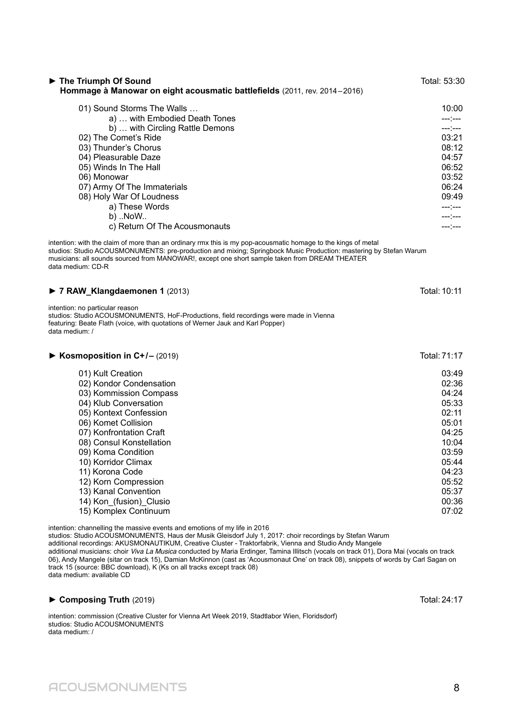| 10:00<br>---:---<br>03:21<br>08:12<br>04:57<br>06:52<br>03:52<br>06:24<br>09:49                                                     |
|-------------------------------------------------------------------------------------------------------------------------------------|
| ---;---                                                                                                                             |
|                                                                                                                                     |
| Total: 10:11                                                                                                                        |
|                                                                                                                                     |
| Total: 71:17                                                                                                                        |
| 03:49<br>02:36<br>04:24<br>05:33<br>02:11<br>05:01<br>04:25<br>10:04<br>03:59<br>05:44<br>04:23<br>05:52<br>05:37<br>00:36<br>07:02 |
|                                                                                                                                     |

intention: channelling the massive events and emotions of my life in 2016 studios: Studio ACOUSMONUMENTS, Haus der Musik Gleisdorf July 1, 2017: choir recordings by Stefan Warum additional recordings: AKUSMONAUTIKUM, Creative Cluster - Traktorfabrik, Vienna and Studio Andy Mangele additional musicians: choir *Viva La Musica* conducted by Maria Erdinger, Tamina Illitsch (vocals on track 01), Dora Mai (vocals on track 06), Andy Mangele (sitar on track 15), Damian McKinnon (cast as 'Acousmonaut One' on track 08), snippets of words by Carl Sagan on track 15 (source: BBC download), K (Ks on all tracks except track 08) data medium: available CD

#### ► **Composing Truth** (2019) Total: 24:17

intention: commission (Creative Cluster for Vienna Art Week 2019, Stadtlabor Wien, Floridsdorf) studios: Studio ACOUSMONUMENTS data medium: /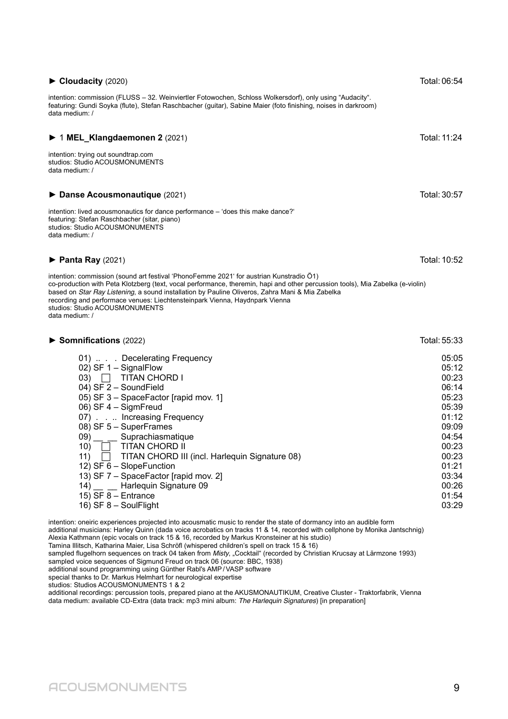ACOUSMONUMENTS 9

#### ► **Cloudacity** (2020) Total:06:54

intention: commission (FLUSS – 32. Weinviertler Fotowochen, Schloss Wolkersdorf), only using "Audacity". featuring: Gundi Soyka (flute), Stefan Raschbacher (guitar), Sabine Maier (foto finishing, noises in darkroom) data medium: /

#### ► 1 **MEL\_Klangdaemonen 2** (2021) Total:11:24

intention: trying out soundtrap.com studios: Studio ACOUSMONUMENTS data medium: /

#### ► Danse Acousmonautique (2021) Total: 30:57

intention: lived acousmonautics for dance performance – 'does this make dance?' featuring: Stefan Raschbacher (sitar, piano) studios: Studio ACOUSMONUMENTS data medium: /

#### ► **Panta Ray** (2021) Total:10:52

intention: commission (sound art festival 'PhonoFemme 2021' for austrian Kunstradio Ö1) co-production with Peta Klotzberg (text, vocal performance, theremin, hapi and other percussion tools), Mia Zabelka (e-violin) based on Star Ray Listening, a sound installation by Pauline Oliveros, Zahra Mani & Mia Zabelka recording and performace venues: Liechtensteinpark Vienna, Haydnpark Vienna studios: Studio ACOUSMONUMENTS data medium: /

#### ► **Somnifications** (2022) Total:55:33

| 05:05 |
|-------|
| 05:12 |
| 00:23 |
| 06:14 |
| 05:23 |
| 05:39 |
| 01:12 |
| 09:09 |
| 04:54 |
| 00:23 |
| 00:23 |
| 01:21 |
| 03:34 |
| 00:26 |
| 01:54 |
| 03:29 |
|       |

intention: oneiric experiences projected into acousmatic music to render the state of dormancy into an audible form

additional musicians: Harley Quinn (dada voice acrobatics on tracks 11 & 14, recorded with cellphone by Monika Jantschnig) Alexia Kathmann (epic vocals on track 15 & 16, recorded by Markus Kronsteiner at his studio)

Tamina Illitsch, Katharina Maier, Lisa Schröfl (whispered children's spell on track 15 & 16)

sampled flugelhorn sequences on track 04 taken from Misty, "Cocktail" (recorded by Christian Krucsay at Lärmzone 1993)

sampled voice sequences of Sigmund Freud on track 06 (source: BBC, 1938)

additional sound programming using Günther Rabl's AMP/VASP software

special thanks to Dr. Markus Helmhart for neurological expertise

studios: Studios ACOUSMONUMENTS 1 & 2

additional recordings: percussion tools, prepared piano at the AKUSMONAUTIKUM, Creative Cluster - Traktorfabrik, Vienna data medium: available CD-Extra (data track: mp3 mini album: The Harlequin Signatures) [in preparation]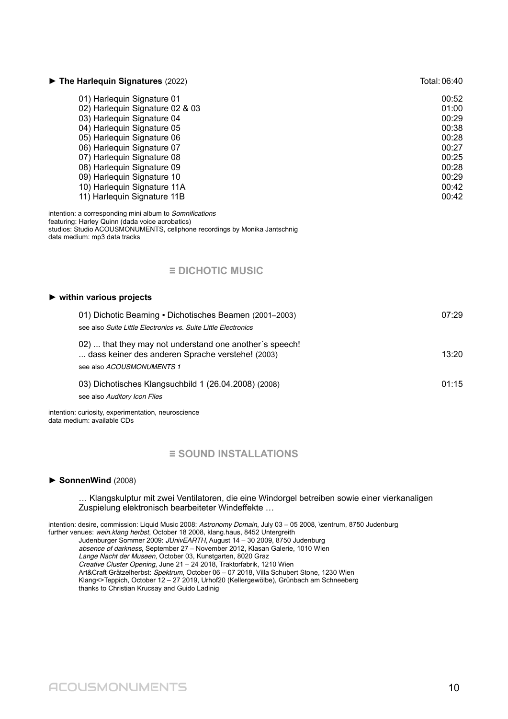| $\triangleright$ The Harlequin Signatures (2022)                                                                                                                                                                                                                                                                                              | Total: 06:40                                                                                    |
|-----------------------------------------------------------------------------------------------------------------------------------------------------------------------------------------------------------------------------------------------------------------------------------------------------------------------------------------------|-------------------------------------------------------------------------------------------------|
| 01) Harlequin Signature 01<br>02) Harlequin Signature 02 & 03<br>03) Harlequin Signature 04<br>04) Harlequin Signature 05<br>05) Harlequin Signature 06<br>06) Harlequin Signature 07<br>07) Harlequin Signature 08<br>08) Harlequin Signature 09<br>09) Harlequin Signature 10<br>10) Harlequin Signature 11A<br>11) Harlequin Signature 11B | 00:52<br>01:00<br>00:29<br>00:38<br>00:28<br>00:27<br>00:25<br>00:28<br>00:29<br>00:42<br>00:42 |
| intention: a corresponding mini album to Somnifications<br>featuring: Harley Quinn (dada voice acrobatics)<br>studios: Studio ACOUSMONUMENTS, cellphone recordings by Monika Jantschnig<br>data medium: mp3 data tracks                                                                                                                       |                                                                                                 |
| $\equiv$ DICHOTIC MUSIC                                                                                                                                                                                                                                                                                                                       |                                                                                                 |
| $\blacktriangleright$ within various projects                                                                                                                                                                                                                                                                                                 |                                                                                                 |
| 01) Dichotic Beaming • Dichotisches Beamen (2001–2003)<br>see also Suite Little Electronics vs. Suite Little Electronics                                                                                                                                                                                                                      | 07:29                                                                                           |
| 02)  that they may not understand one another's speech!<br>dass keiner des anderen Sprache verstehe! (2003)<br>see also ACOUSMONUMENTS 1                                                                                                                                                                                                      | 13:20                                                                                           |
| 03) Dichotisches Klangsuchbild 1 (26.04.2008) (2008)<br>see also Auditory Icon Files                                                                                                                                                                                                                                                          | 01:15                                                                                           |

intention: curiosity, experimentation, neuroscience data medium: available CDs

#### **≡ SOUND INSTALLATIONS**

#### **► SonnenWind** (2008)

#### … Klangskulptur mit zwei Ventilatoren, die eine Windorgel betreiben sowie einer vierkanaligen Zuspielung elektronisch bearbeiteter Windeffekte …

intention: desire, commission: Liquid Music 2008: Astronomy Domain, July 03 - 05 2008, \zentrum, 8750 Judenburg further venues: wein.klang herbst, October 18 2008, klang.haus, 8452 Untergreith Judenburger Sommer 2009: JUnivEARTH, August 14 – 30 2009, 8750 Judenburg absence of darkness, September 27 – November 2012, Klasan Galerie, 1010 Wien Lange Nacht der Museen, October 03, Kunstgarten, 8020 Graz Creative Cluster Opening, June 21 – 24 2018, Traktorfabrik, 1210 Wien Art&Craft Grätzelherbst: Spektrum, October 06 – 07 2018, Villa Schubert Stone, 1230 Wien Klang<>Teppich, October 12 – 27 2019, Urhof20 (Kellergewölbe), Grünbach am Schneeberg thanks to Christian Krucsay and Guido Ladinig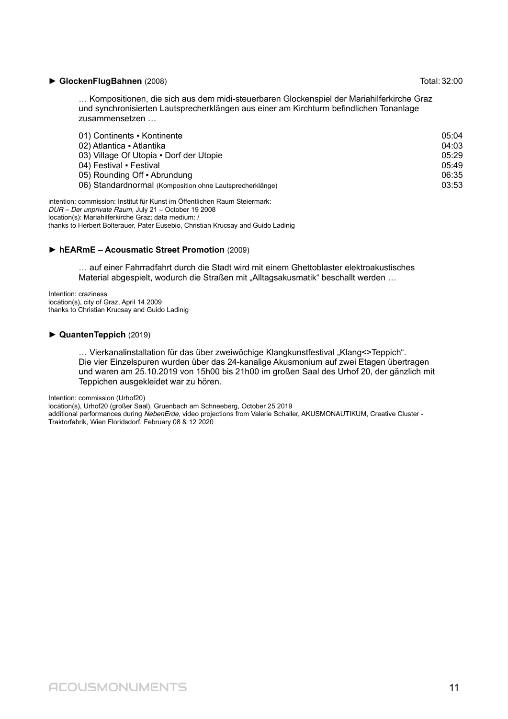#### ► **GlockenFlugBahnen** (2008) Total:32:00

… Kompositionen, die sich aus dem midi-steuerbaren Glockenspiel der Mariahilferkirche Graz und synchronisierten Lautsprecherklängen aus einer am Kirchturm befindlichen Tonanlage zusammensetzen …

| 01) Continents • Kontinente                              | 05:04 |
|----------------------------------------------------------|-------|
| 02) Atlantica · Atlantika                                | 04:03 |
| 03) Village Of Utopia . Dorf der Utopie                  | 05:29 |
| 04) Festival · Festival                                  | 05:49 |
| 05) Rounding Off • Abrundung                             | 06:35 |
| 06) Standardnormal (Komposition ohne Lautsprecherklänge) | 03:53 |
|                                                          |       |

intention: commission: Institut für Kunst im Öffentlichen Raum Steiermark: DUR – Der unprivate Raum, July 21 – October 19 2008 location(s): Mariahilferkirche Graz; data medium: / thanks to Herbert Bolterauer, Pater Eusebio, Christian Krucsay and Guido Ladinig

#### **► hEARmE – Acousmatic Street Promotion** (2009)

… auf einer Fahrradfahrt durch die Stadt wird mit einem Ghettoblaster elektroakustisches Material abgespielt, wodurch die Straßen mit "Alltagsakusmatik" beschallt werden ...

Intention: craziness location(s), city of Graz, April 14 2009 thanks to Christian Krucsay and Guido Ladinig

#### **► QuantenTeppich** (2019)

… Vierkanalinstallation für das über zweiwöchige Klangkunstfestival "Klang<>Teppich". Die vier Einzelspuren wurden über das 24-kanalige Akusmonium auf zwei Etagen übertragen und waren am 25.10.2019 von 15h00 bis 21h00 im großen Saal des Urhof 20, der gänzlich mit Teppichen ausgekleidet war zu hören.

Intention: commission (Urhof20)

location(s), Urhof20 (großer Saal), Gruenbach am Schneeberg, October 25 2019 additional performances during NebenErde, video projections from Valerie Schaller, AKUSMONAUTIKUM, Creative Cluster -Traktorfabrik, Wien Floridsdorf, February 08 & 12 2020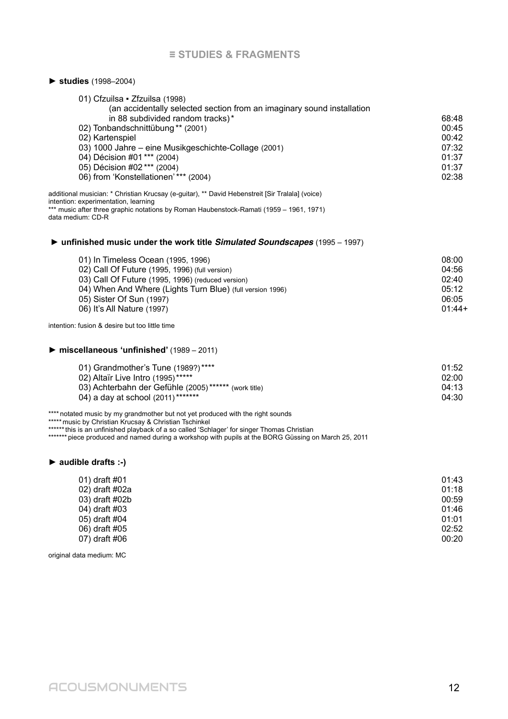#### **≡ STUDIES & FRAGMENTS**

#### **► studies** (1998–2004)

| (an accidentally selected section from an imaginary sound installation |       |
|------------------------------------------------------------------------|-------|
| in 88 subdivided random tracks)*                                       | 68:48 |
| 02) Tonbandschnittübung** (2001)                                       | 00:45 |
| 02) Kartenspiel                                                        | 00:42 |
| 03) 1000 Jahre – eine Musikgeschichte-Collage (2001)                   | 07:32 |
| 04) Décision #01 *** (2004)                                            | 01:37 |
| 05) Décision #02 *** (2004)                                            | 01:37 |
| 06) from 'Konstellationen' *** (2004)                                  | 02:38 |

additional musician: \* Christian Krucsay (e-guitar), \*\* David Hebenstreit [Sir Tralala] (voice) intention: experimentation, learning \*\*\* music after three graphic notations by Roman Haubenstock-Ramati (1959 – 1961, 1971) data medium: CD-R

#### **► unfinished music under the work title Simulated Soundscapes** (1995 – 1997)

| 01) In Timeless Ocean (1995, 1996)                                 | 08:00    |
|--------------------------------------------------------------------|----------|
| 02) Call Of Future (1995, 1996) (full version)                     | 04:56    |
| 03) Call Of Future (1995, 1996) (reduced version)                  | 02:40    |
| 04) When And Where (Lights Turn Blue) (full version 1996)<br>05:12 |          |
| 05) Sister Of Sun (1997)                                           | 06:05    |
| 06) It's All Nature (1997)                                         | $01:44+$ |

intention: fusion & desire but too little time

#### **► miscellaneous 'unfinished'** (1989 – 2011)

| 01) Grandmother's Tune (1989?)****                   | 01:52 |
|------------------------------------------------------|-------|
| 02) Altaïr Live Intro (1995)*****                    | 02:00 |
| 03) Achterbahn der Gefühle (2005)****** (work title) | 04:13 |
| 04) a day at school (2011)*******                    | 04:30 |

\*\*\*\* notated music by my grandmother but not yet produced with the right sounds

\*\*\*\*\*music by Christian Krucsay & Christian Tschinkel

\*\*\*\*\*\*this is an unfinished playback of a so called 'Schlager' for singer Thomas Christian

\*\*\*\*\*\*\* piece produced and named during a workshop with pupils at the BORG Güssing on March 25, 2011

#### **► audible drafts :-)**

| 01) draft #01  | 01:43 |
|----------------|-------|
| 02) draft #02a | 01:18 |
| 03) draft #02b | 00:59 |
| 04) draft #03  | 01:46 |
| 05) draft #04  | 01:01 |
| 06) draft #05  | 02:52 |
| 07) draft #06  | 00:20 |

original data medium: MC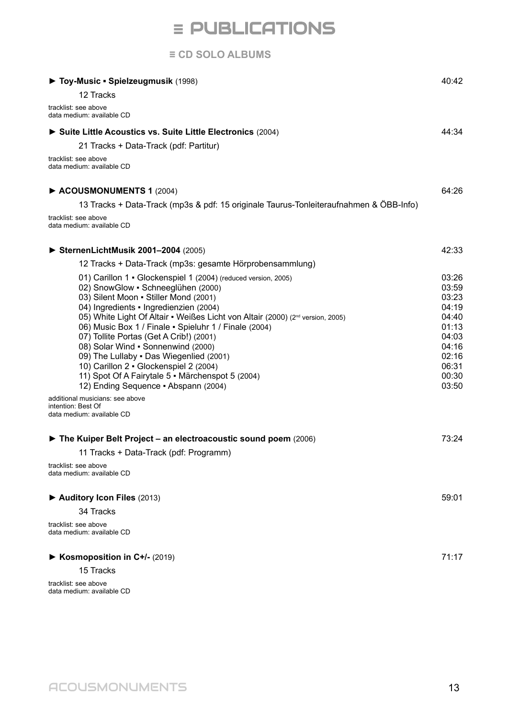## **≡** PUBLICATIONS

#### **≡ CD SOLO ALBUMS**

| Toy-Music - Spielzeugmusik (1998)                                                                                                                                                                                                                                                                                                                                                                                                                                                                                                                                                                                                                                                                                                                                                                                  | 40:42                                                                                                             |
|--------------------------------------------------------------------------------------------------------------------------------------------------------------------------------------------------------------------------------------------------------------------------------------------------------------------------------------------------------------------------------------------------------------------------------------------------------------------------------------------------------------------------------------------------------------------------------------------------------------------------------------------------------------------------------------------------------------------------------------------------------------------------------------------------------------------|-------------------------------------------------------------------------------------------------------------------|
| 12 Tracks                                                                                                                                                                                                                                                                                                                                                                                                                                                                                                                                                                                                                                                                                                                                                                                                          |                                                                                                                   |
| tracklist: see above<br>data medium: available CD                                                                                                                                                                                                                                                                                                                                                                                                                                                                                                                                                                                                                                                                                                                                                                  |                                                                                                                   |
| Suite Little Acoustics vs. Suite Little Electronics (2004)                                                                                                                                                                                                                                                                                                                                                                                                                                                                                                                                                                                                                                                                                                                                                         | 44:34                                                                                                             |
| 21 Tracks + Data-Track (pdf: Partitur)                                                                                                                                                                                                                                                                                                                                                                                                                                                                                                                                                                                                                                                                                                                                                                             |                                                                                                                   |
| tracklist: see above<br>data medium: available CD                                                                                                                                                                                                                                                                                                                                                                                                                                                                                                                                                                                                                                                                                                                                                                  |                                                                                                                   |
| ACOUSMONUMENTS 1 (2004)                                                                                                                                                                                                                                                                                                                                                                                                                                                                                                                                                                                                                                                                                                                                                                                            | 64:26                                                                                                             |
| 13 Tracks + Data-Track (mp3s & pdf: 15 originale Taurus-Tonleiteraufnahmen & ÖBB-Info)                                                                                                                                                                                                                                                                                                                                                                                                                                                                                                                                                                                                                                                                                                                             |                                                                                                                   |
| tracklist: see above<br>data medium: available CD                                                                                                                                                                                                                                                                                                                                                                                                                                                                                                                                                                                                                                                                                                                                                                  |                                                                                                                   |
| SternenLichtMusik 2001-2004 (2005)                                                                                                                                                                                                                                                                                                                                                                                                                                                                                                                                                                                                                                                                                                                                                                                 | 42:33                                                                                                             |
| 12 Tracks + Data-Track (mp3s: gesamte Hörprobensammlung)                                                                                                                                                                                                                                                                                                                                                                                                                                                                                                                                                                                                                                                                                                                                                           |                                                                                                                   |
| 01) Carillon 1 • Glockenspiel 1 (2004) (reduced version, 2005)<br>02) SnowGlow · Schneeglühen (2000)<br>03) Silent Moon - Stiller Mond (2001)<br>04) Ingredients - Ingredienzien (2004)<br>05) White Light Of Altair . Weißes Licht von Altair (2000) (2 <sup>nd</sup> version, 2005)<br>06) Music Box 1 / Finale - Spieluhr 1 / Finale (2004)<br>07) Tollite Portas (Get A Crib!) (2001)<br>08) Solar Wind . Sonnenwind (2000)<br>09) The Lullaby . Das Wiegenlied (2001)<br>10) Carillon 2 · Glockenspiel 2 (2004)<br>11) Spot Of A Fairytale 5 · Märchenspot 5 (2004)<br>12) Ending Sequence - Abspann (2004)<br>additional musicians: see above<br>intention: Best Of<br>data medium: available CD<br>The Kuiper Belt Project – an electroacoustic sound poem (2006)<br>11 Tracks + Data-Track (pdf: Programm) | 03:26<br>03:59<br>03:23<br>04:19<br>04:40<br>01:13<br>04:03<br>04:16<br>02:16<br>06:31<br>00:30<br>03:50<br>73:24 |
| tracklist: see above<br>data medium: available CD<br>Auditory Icon Files (2013)                                                                                                                                                                                                                                                                                                                                                                                                                                                                                                                                                                                                                                                                                                                                    | 59:01                                                                                                             |
| 34 Tracks                                                                                                                                                                                                                                                                                                                                                                                                                                                                                                                                                                                                                                                                                                                                                                                                          |                                                                                                                   |
| tracklist: see above<br>data medium: available CD                                                                                                                                                                                                                                                                                                                                                                                                                                                                                                                                                                                                                                                                                                                                                                  |                                                                                                                   |
| ► Kosmoposition in C+/- (2019)                                                                                                                                                                                                                                                                                                                                                                                                                                                                                                                                                                                                                                                                                                                                                                                     | 71:17                                                                                                             |
| 15 Tracks                                                                                                                                                                                                                                                                                                                                                                                                                                                                                                                                                                                                                                                                                                                                                                                                          |                                                                                                                   |

tracklist: see above data medium: available CD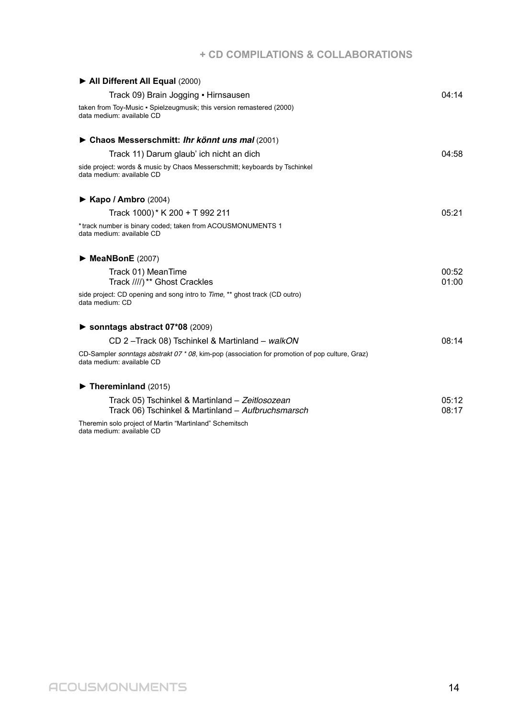### **+ CD COMPILATIONS & COLLABORATIONS**

| All Different All Equal (2000)                                                                                                      |                |
|-------------------------------------------------------------------------------------------------------------------------------------|----------------|
| Track 09) Brain Jogging • Hirnsausen                                                                                                | 04:14          |
| taken from Toy-Music · Spielzeugmusik; this version remastered (2000)<br>data medium: available CD                                  |                |
| ► Chaos Messerschmitt: Ihr könnt uns mal (2001)                                                                                     |                |
| Track 11) Darum glaub' ich nicht an dich                                                                                            | 04:58          |
| side project: words & music by Chaos Messerschmitt; keyboards by Tschinkel<br>data medium: available CD                             |                |
| $\triangleright$ Kapo / Ambro (2004)                                                                                                |                |
| Track 1000)* K 200 + T 992 211                                                                                                      | 05:21          |
| *track number is binary coded; taken from ACOUSMONUMENTS 1<br>data medium: available CD                                             |                |
| $\triangleright$ MeaNBonE (2007)                                                                                                    |                |
| Track 01) MeanTime<br>Track ////) ** Ghost Crackles                                                                                 | 00:52<br>01:00 |
| side project: CD opening and song intro to <i>Time</i> , ** ghost track (CD outro)<br>data medium: CD                               |                |
| Sonntags abstract $07*08$ (2009)                                                                                                    |                |
| CD 2-Track 08) Tschinkel & Martinland - walkON                                                                                      | 08:14          |
| CD-Sampler <i>sonntags abstrakt 07 * 08</i> , kim-pop (association for promotion of pop culture, Graz)<br>data medium: available CD |                |
| $\blacktriangleright$ Thereminland (2015)                                                                                           |                |
| Track 05) Tschinkel & Martinland - Zeitlosozean<br>Track 06) Tschinkel & Martinland - Aufbruchsmarsch                               | 05:12<br>08:17 |
| Theremin solo project of Martin "Martinland" Schemitsch<br>data medium: available CD                                                |                |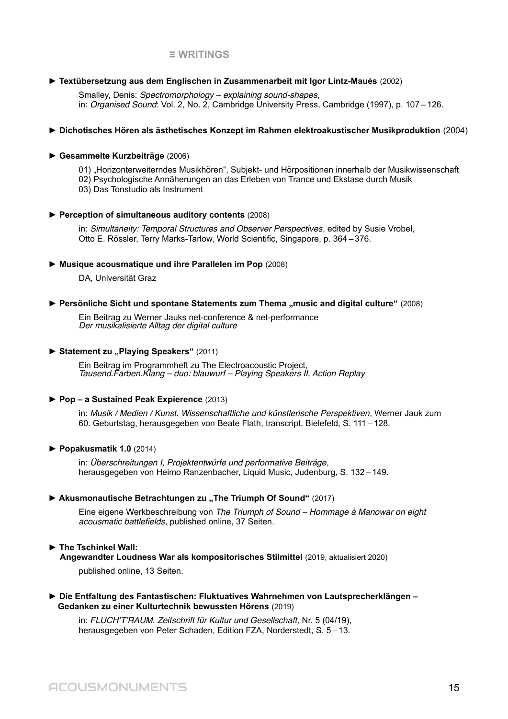#### **≡ WRITINGS**

#### **► Textübersetzung aus dem Englischen in Zusammenarbeit mit Igor Lintz-Maués** (2002)

Smalley, Denis: Spectromorphology – explaining sound-shapes, in: Organised Sound: Vol. 2, No. 2, Cambridge University Press, Cambridge (1997), p. 107–126.

#### **► Dichotisches Hören als ästhetisches Konzept im Rahmen elektroakustischer Musikproduktion** (2004)

#### **► Gesammelte Kurzbeiträge** (2006)

01) "Horizonterweiterndes Musikhören", Subjekt- und Hörpositionen innerhalb der Musikwissenschaft 02) Psychologische Annäherungen an das Erleben von Trance und Ekstase durch Musik 03) Das Tonstudio als Instrument

#### **► Perception of simultaneous auditory contents** (2008)

in: Simultaneity: Temporal Structures and Observer Perspectives, edited by Susie Vrobel, Otto E. Rössler, Terry Marks-Tarlow, World Scientific, Singapore, p. 364–376.

#### **► Musique acousmatique und ihre Parallelen im Pop** (2008)

DA, Universität Graz

#### ► Persönliche Sicht und spontane Statements zum Thema "music and digital culture" (2008)

Ein Beitrag zu Werner Jauks net-conference & net-performance Der musikalisierte Alltag der digital culture

#### ► Statement zu "Playing Speakers" (2011)

Ein Beitrag im Programmheft zu The Electroacoustic Project, Tausend.Farben.Klang – duo: blauwurf – Playing Speakers II, Action Replay

#### **► Pop – a Sustained Peak Expierence** (2013)

in: Musik / Medien / Kunst. Wissenschaftliche und künstlerische Perspektiven, Werner Jauk zum 60. Geburtstag, herausgegeben von Beate Flath, transcript, Bielefeld, S. 111–128.

#### **► Popakusmatik 1.0** (2014)

in: Überschreitungen I, Projektentwürfe und performative Beiträge, herausgegeben von Heimo Ranzenbacher, Liquid Music, Judenburg, S. 132–149.

#### ▶ Akusmonautische Betrachtungen zu "The Triumph Of Sound" (2017)

Eine eigene Werkbeschreibung von The Triumph of Sound – Hommage à Manowar on eight acousmatic battlefields, published online, 37 Seiten.

#### **► The Tschinkel Wall:**

 **Angewandter Loudness War als kompositorisches Stilmittel** (2019, aktualisiert 2020)

published online, 13 Seiten.

#### **► Die Entfaltung des Fantastischen: Fluktuatives Wahrnehmen von Lautsprecherklängen – Gedanken zu einer Kulturtechnik bewussten Hörens** (2019)

in: FLUCH'T'RAUM. Zeitschrift für Kultur und Gesellschaft, Nr. 5 (04/19), herausgegeben von Peter Schaden, Edition FZA, Norderstedt, S. 5–13.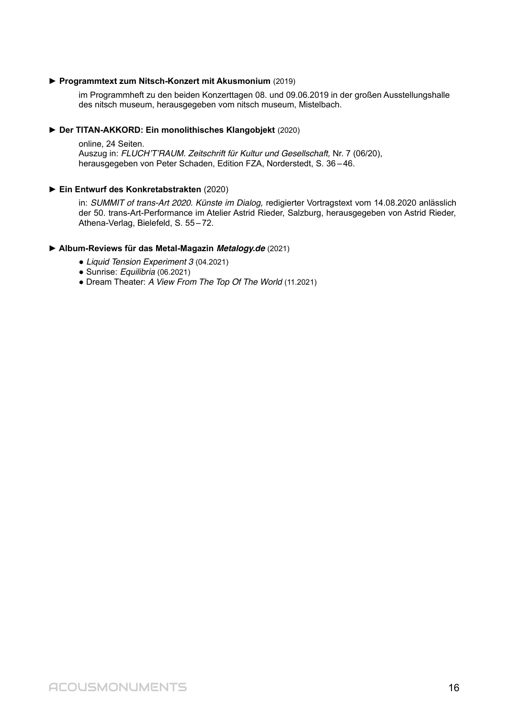#### **► Programmtext zum Nitsch-Konzert mit Akusmonium** (2019)

im Programmheft zu den beiden Konzerttagen 08. und 09.06.2019 in der großen Ausstellungshalle des nitsch museum, herausgegeben vom nitsch museum, Mistelbach.

#### **► Der TITAN-AKKORD: Ein monolithisches Klangobjekt** (2020)

online, 24 Seiten. Auszug in: FLUCH'T'RAUM. Zeitschrift für Kultur und Gesellschaft, Nr. 7 (06/20), herausgegeben von Peter Schaden, Edition FZA, Norderstedt, S. 36–46.

#### **► Ein Entwurf des Konkretabstrakten** (2020)

in: SUMMIT of trans-Art 2020. Künste im Dialog, redigierter Vortragstext vom 14.08.2020 anlässlich der 50. trans-Art-Performance im Atelier Astrid Rieder, Salzburg, herausgegeben von Astrid Rieder, Athena-Verlag, Bielefeld, S. 55–72.

#### **► Album-Reviews für das Metal-Magazin Metalogy.de** (2021)

- Liquid Tension Experiment 3 (04.2021)
- Sunrise: Equilibria (06.2021)
- Dream Theater: A View From The Top Of The World (11.2021)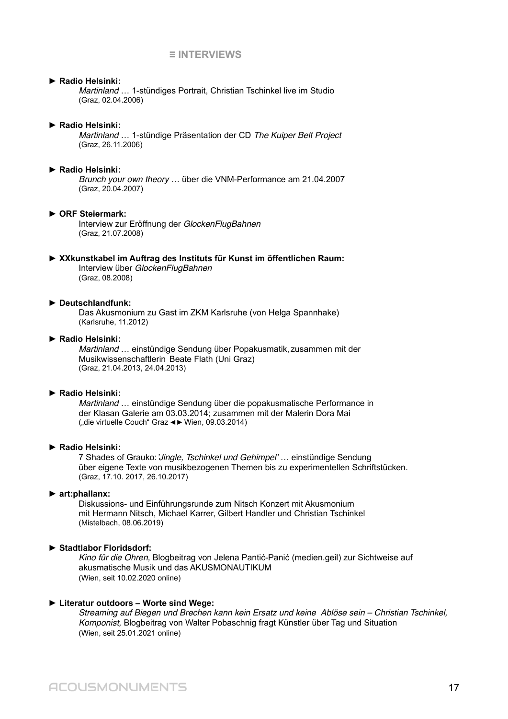#### **≡ INTERVIEWS**

#### ► **Radio Helsinki:**

Martinland … 1-stündiges Portrait, Christian Tschinkel live im Studio (Graz, 02.04.2006)

#### ► **Radio Helsinki:**

Martinland … 1-stündige Präsentation der CD The Kuiper Belt Project (Graz, 26.11.2006)

#### ► **Radio Helsinki:**

Brunch your own theory … über die VNM-Performance am 21.04.2007 (Graz, 20.04.2007)

#### ► **ORF Steiermark:**

Interview zur Eröffnung der GlockenFlugBahnen (Graz, 21.07.2008)

#### ► **XXkunstkabel im Auftrag des Instituts für Kunst im öffentlichen Raum:**

Interview über GlockenFlugBahnen (Graz, 08.2008)

#### ► **Deutschlandfunk:**

Das Akusmonium zu Gast im ZKM Karlsruhe (von Helga Spannhake) (Karlsruhe, 11.2012)

#### ► **Radio Helsinki:**

Martinland … einstündige Sendung über Popakusmatik, zusammen mit der Musikwissenschaftlerin Beate Flath (Uni Graz) (Graz, 21.04.2013, 24.04.2013)

#### ► **Radio Helsinki:**

Martinland … einstündige Sendung über die popakusmatische Performance in der Klasan Galerie am 03.03.2014; zusammen mit der Malerin Dora Mai ("die virtuelle Couch" Graz <► Wien, 09.03.2014)

#### ► **Radio Helsinki:**

7 Shades of Grauko:'Jingle, Tschinkel und Gehimpel' … einstündige Sendung über eigene Texte von musikbezogenen Themen bis zu experimentellen Schriftstücken. (Graz, 17.10. 2017, 26.10.2017)

#### ► **art:phallanx:**

Diskussions- und Einführungsrunde zum Nitsch Konzert mit Akusmonium mit Hermann Nitsch, Michael Karrer, Gilbert Handler und Christian Tschinkel (Mistelbach, 08.06.2019)

#### ► **Stadtlabor Floridsdorf:**

Kino für die Ohren, Blogbeitrag von Jelena Pantić-Panić (medien.geil) zur Sichtweise auf akusmatische Musik und das AKUSMONAUTIKUM (Wien, seit 10.02.2020 online)

#### ► **Literatur outdoors – Worte sind Wege:**

Streaming auf Biegen und Brechen kann kein Ersatz und keine Ablöse sein – Christian Tschinkel, Komponist, Blogbeitrag von Walter Pobaschnig fragt Künstler über Tag und Situation (Wien, seit 25.01.2021 online)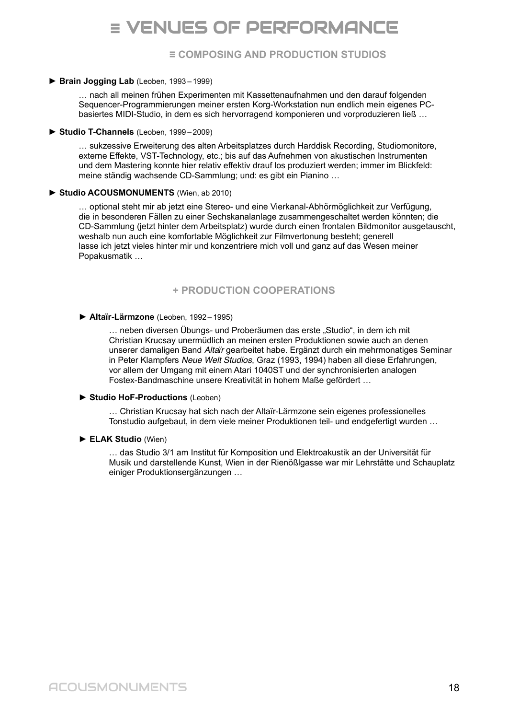# **≡** VENUES OF PERFORMANCE

**≡ COMPOSING AND PRODUCTION STUDIOS**

#### ► **Brain Jogging Lab** (Leoben, 1993 – 1999)

… nach all meinen frühen Experimenten mit Kassettenaufnahmen und den darauf folgenden Sequencer-Programmierungen meiner ersten Korg-Workstation nun endlich mein eigenes PCbasiertes MIDI-Studio, in dem es sich hervorragend komponieren und vorproduzieren ließ …

#### ► **Studio T-Channels** (Leoben, 1999 – 2009)

… sukzessive Erweiterung des alten Arbeitsplatzes durch Harddisk Recording, Studiomonitore, externe Effekte, VST-Technology, etc.; bis auf das Aufnehmen von akustischen Instrumenten und dem Mastering konnte hier relativ effektiv drauf los produziert werden; immer im Blickfeld: meine ständig wachsende CD-Sammlung; und: es gibt ein Pianino …

#### ► **Studio ACOUSMONUMENTS** (Wien, ab 2010)

… optional steht mir ab jetzt eine Stereo- und eine Vierkanal-Abhörmöglichkeit zur Verfügung, die in besonderen Fällen zu einer Sechskanalanlage zusammengeschaltet werden könnten; die CD-Sammlung (jetzt hinter dem Arbeitsplatz) wurde durch einen frontalen Bildmonitor ausgetauscht, weshalb nun auch eine komfortable Möglichkeit zur Filmvertonung besteht; generell lasse ich jetzt vieles hinter mir und konzentriere mich voll und ganz auf das Wesen meiner Popakusmatik …

#### **+ PRODUCTION COOPERATIONS**

#### ► **Altaїr-Lärmzone** (Leoben, 1992 – 1995)

... neben diversen Übungs- und Proberäumen das erste "Studio", in dem ich mit Christian Krucsay unermüdlich an meinen ersten Produktionen sowie auch an denen unserer damaligen Band Altaïr gearbeitet habe. Ergänzt durch ein mehrmonatiges Seminar in Peter Klampfers Neue Welt Studios, Graz (1993, 1994) haben all diese Erfahrungen, vor allem der Umgang mit einem Atari 1040ST und der synchronisierten analogen Fostex-Bandmaschine unsere Kreativität in hohem Maße gefördert …

#### ► **Studio HoF-Productions** (Leoben)

… Christian Krucsay hat sich nach der Altaїr-Lärmzone sein eigenes professionelles Tonstudio aufgebaut, in dem viele meiner Produktionen teil- und endgefertigt wurden …

#### ► **ELAK Studio** (Wien)

… das Studio 3/1 am Institut für Komposition und Elektroakustik an der Universität für Musik und darstellende Kunst, Wien in der Rienößlgasse war mir Lehrstätte und Schauplatz einiger Produktionsergänzungen …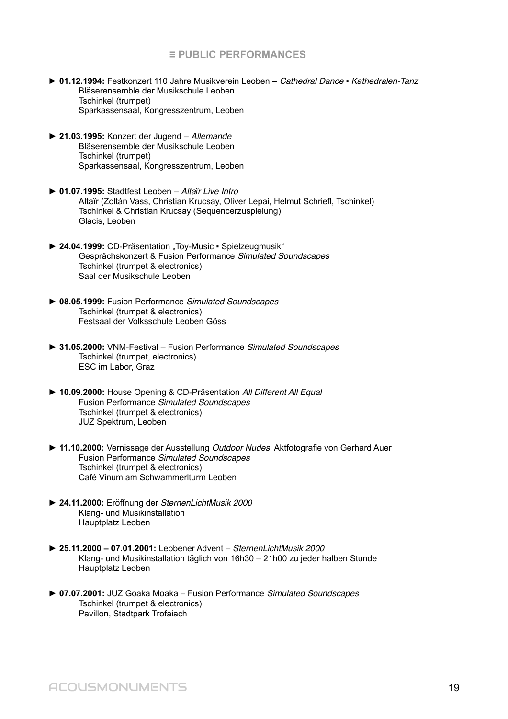#### **≡ PUBLIC PERFORMANCES**

- ► 01.12.1994: Festkonzert 110 Jahre Musikverein Leoben Cathedral Dance Kathedralen-Tanz Bläserensemble der Musikschule Leoben Tschinkel (trumpet) Sparkassensaal, Kongresszentrum, Leoben
- ► **21.03.1995:** Konzert der Jugend Allemande Bläserensemble der Musikschule Leoben Tschinkel (trumpet) Sparkassensaal, Kongresszentrum, Leoben
- ► **01.07.1995:** Stadtfest Leoben Altaїr Live Intro Altaїr (Zoltán Vass, Christian Krucsay, Oliver Lepai, Helmut Schriefl, Tschinkel) Tschinkel & Christian Krucsay (Sequencerzuspielung) Glacis, Leoben
- ► **24.04.1999:** CD-Präsentation "Toy-Music Spielzeugmusik" Gesprächskonzert & Fusion Performance Simulated Soundscapes Tschinkel (trumpet & electronics) Saal der Musikschule Leoben
- ► **08.05.1999:** Fusion Performance Simulated Soundscapes Tschinkel (trumpet & electronics) Festsaal der Volksschule Leoben Göss
- ► **31.05.2000:** VNM-Festival Fusion Performance Simulated Soundscapes Tschinkel (trumpet, electronics) ESC im Labor, Graz
- ► **10.09.2000:** House Opening & CD-Präsentation All Different All Equal Fusion Performance Simulated Soundscapes Tschinkel (trumpet & electronics) JUZ Spektrum, Leoben
- ► **11.10.2000:** Vernissage der Ausstellung Outdoor Nudes, Aktfotografie von Gerhard Auer Fusion Performance Simulated Soundscapes Tschinkel (trumpet & electronics) Café Vinum am Schwammerlturm Leoben
- ► **24.11.2000:** Eröffnung der SternenLichtMusik 2000 Klang- und Musikinstallation Hauptplatz Leoben
- ► **25.11.2000 07.01.2001:** Leobener Advent SternenLichtMusik 2000 Klang- und Musikinstallation täglich von 16h30 – 21h00 zu jeder halben Stunde Hauptplatz Leoben
- ► **07.07.2001:** JUZ Goaka Moaka Fusion Performance Simulated Soundscapes Tschinkel (trumpet & electronics) Pavillon, Stadtpark Trofaiach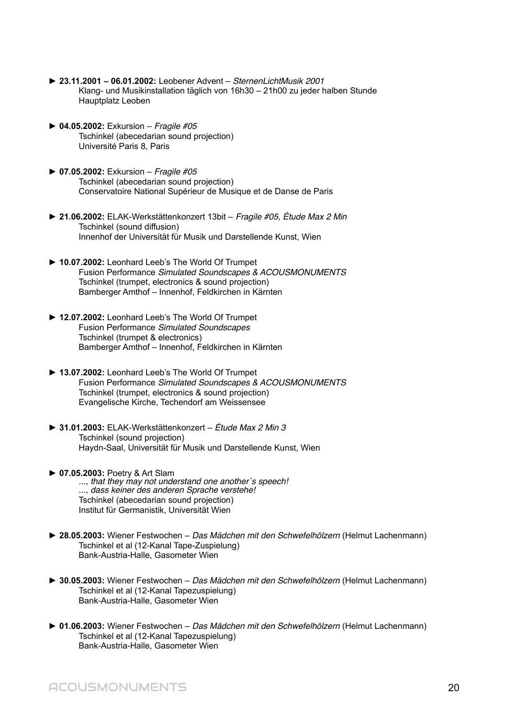- ► **23.11.2001 06.01.2002:** Leobener Advent SternenLichtMusik 2001 Klang- und Musikinstallation täglich von 16h30 – 21h00 zu jeder halben Stunde Hauptplatz Leoben
- ► **04.05.2002:** Exkursion Fragile #05 Tschinkel (abecedarian sound projection) Université Paris 8, Paris
- ► **07.05.2002:** Exkursion Fragile #05 Tschinkel (abecedarian sound projection) Conservatoire National Supérieur de Musique et de Danse de Paris
- ► **21.06.2002:** ELAK-Werkstättenkonzert 13bit Fragile #05, Étude Max 2 Min Tschinkel (sound diffusion) Innenhof der Universität für Musik und Darstellende Kunst, Wien
- ► **10.07.2002:** Leonhard Leeb's The World Of Trumpet Fusion Performance Simulated Soundscapes & ACOUSMONUMENTS Tschinkel (trumpet, electronics & sound projection) Bamberger Amthof – Innenhof, Feldkirchen in Kärnten
- ► **12.07.2002:** Leonhard Leeb's The World Of Trumpet Fusion Performance Simulated Soundscapes Tschinkel (trumpet & electronics) Bamberger Amthof – Innenhof, Feldkirchen in Kärnten
- ► **13.07.2002:** Leonhard Leeb's The World Of Trumpet Fusion Performance Simulated Soundscapes & ACOUSMONUMENTS Tschinkel (trumpet, electronics & sound projection) Evangelische Kirche, Techendorf am Weissensee
- ► **31.01.2003:** ELAK-Werkstättenkonzert Étude Max 2 Min 3 Tschinkel (sound projection) Haydn-Saal, Universität für Musik und Darstellende Kunst, Wien
- ► **07.05.2003:** Poetry & Art Slam ..., that they may not understand one another's speech! ..., dass keiner des anderen Sprache verstehe! Tschinkel (abecedarian sound projection) Institut für Germanistik, Universität Wien
- ► **28.05.2003:** Wiener Festwochen Das Mädchen mit den Schwefelhölzern (Helmut Lachenmann) Tschinkel et al (12-Kanal Tape-Zuspielung) Bank-Austria-Halle, Gasometer Wien
- ► **30.05.2003:** Wiener Festwochen Das Mädchen mit den Schwefelhölzern (Helmut Lachenmann) Tschinkel et al (12-Kanal Tapezuspielung) Bank-Austria-Halle, Gasometer Wien
- ► **01.06.2003:** Wiener Festwochen Das Mädchen mit den Schwefelhölzern (Helmut Lachenmann) Tschinkel et al (12-Kanal Tapezuspielung) Bank-Austria-Halle, Gasometer Wien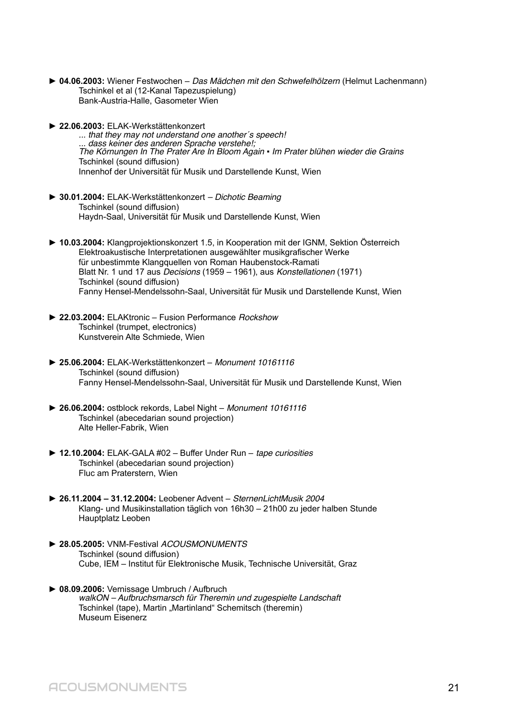- ► **04.06.2003:** Wiener Festwochen Das Mädchen mit den Schwefelhölzern (Helmut Lachenmann) Tschinkel et al (12-Kanal Tapezuspielung) Bank-Austria-Halle, Gasometer Wien
- ► **22.06.2003:** ELAK-Werkstättenkonzert

... that they may not understand one another´s speech! ... dass keiner des anderen Sprache verstehe!; The Körnungen In The Prater Are In Bloom Again · Im Prater blühen wieder die Grains Tschinkel (sound diffusion) Innenhof der Universität für Musik und Darstellende Kunst, Wien

- ► **30.01.2004:** ELAK-Werkstättenkonzert Dichotic Beaming Tschinkel (sound diffusion) Haydn-Saal, Universität für Musik und Darstellende Kunst, Wien
- **► 10.03.2004:** Klangprojektionskonzert 1.5, in Kooperation mit der IGNM, Sektion Österreich Elektroakustische Interpretationen ausgewählter musikgrafischer Werke für unbestimmte Klangquellen von Roman Haubenstock-Ramati Blatt Nr. 1 und 17 aus Decisions (1959 – 1961), aus Konstellationen (1971) Tschinkel (sound diffusion) Fanny Hensel-Mendelssohn-Saal, Universität für Musik und Darstellende Kunst, Wien
- **► 22.03.2004:** ELAKtronic Fusion Performance Rockshow Tschinkel (trumpet, electronics) Kunstverein Alte Schmiede, Wien
- **► 25.06.2004:** ELAK-Werkstättenkonzert Monument 10161116 Tschinkel (sound diffusion) Fanny Hensel-Mendelssohn-Saal, Universität für Musik und Darstellende Kunst, Wien
- **► 26.06.2004:** ostblock rekords, Label Night Monument 10161116 Tschinkel (abecedarian sound projection) Alte Heller-Fabrik, Wien
- ► **12.10.2004:** ELAK-GALA #02 Buffer Under Run tape curiosities Tschinkel (abecedarian sound projection) Fluc am Praterstern, Wien
- ► **26.11.2004 31.12.2004:** Leobener Advent SternenLichtMusik 2004 Klang- und Musikinstallation täglich von 16h30 – 21h00 zu jeder halben Stunde Hauptplatz Leoben
- ► **28.05.2005:** VNM-Festival ACOUSMONUMENTS Tschinkel (sound diffusion) Cube, IEM – Institut für Elektronische Musik, Technische Universität, Graz
- ► **08.09.2006:** Vernissage Umbruch / Aufbruch walkON – Aufbruchsmarsch für Theremin und zugespielte Landschaft Tschinkel (tape), Martin "Martinland" Schemitsch (theremin) Museum Eisenerz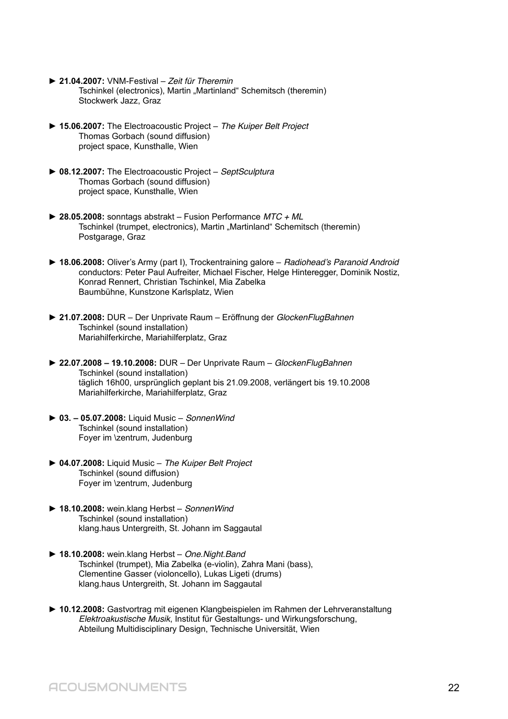- ► **21.04.2007:** VNM-Festival Zeit für Theremin Tschinkel (electronics), Martin "Martinland" Schemitsch (theremin) Stockwerk Jazz, Graz
- ► **15.06.2007:** The Electroacoustic Project The Kuiper Belt Project Thomas Gorbach (sound diffusion) project space, Kunsthalle, Wien
- ► **08.12.2007:** The Electroacoustic Project SeptSculptura Thomas Gorbach (sound diffusion) project space, Kunsthalle, Wien
- ► **28.05.2008:** sonntags abstrakt Fusion Performance MTC + ML Tschinkel (trumpet, electronics), Martin "Martinland" Schemitsch (theremin) Postgarage, Graz
- ► **18.06.2008:** Oliver's Army (part I), Trockentraining galore Radiohead's Paranoid Android conductors: Peter Paul Aufreiter, Michael Fischer, Helge Hinteregger, Dominik Nostiz, Konrad Rennert, Christian Tschinkel, Mia Zabelka Baumbühne, Kunstzone Karlsplatz, Wien
- ► **21.07.2008:** DUR Der Unprivate Raum Eröffnung der GlockenFlugBahnen Tschinkel (sound installation) Mariahilferkirche, Mariahilferplatz, Graz
- ► **22.07.2008 19.10.2008:** DUR Der Unprivate Raum GlockenFlugBahnen Tschinkel (sound installation) täglich 16h00, ursprünglich geplant bis 21.09.2008, verlängert bis 19.10.2008 Mariahilferkirche, Mariahilferplatz, Graz
- ► **03. 05.07.2008:** Liquid Music SonnenWind Tschinkel (sound installation) Foyer im \zentrum, Judenburg
- ► **04.07.2008:** Liquid Music The Kuiper Belt Project Tschinkel (sound diffusion) Foyer im \zentrum, Judenburg
- ► **18.10.2008:** wein.klang Herbst SonnenWind Tschinkel (sound installation) klang.haus Untergreith, St. Johann im Saggautal
- ► **18.10.2008:** wein.klang Herbst One.Night.Band Tschinkel (trumpet), Mia Zabelka (e-violin), Zahra Mani (bass), Clementine Gasser (violoncello), Lukas Ligeti (drums) klang.haus Untergreith, St. Johann im Saggautal
- ► **10.12.2008:** Gastvortrag mit eigenen Klangbeispielen im Rahmen der Lehrveranstaltung Elektroakustische Musik, Institut für Gestaltungs- und Wirkungsforschung, Abteilung Multidisciplinary Design, Technische Universität, Wien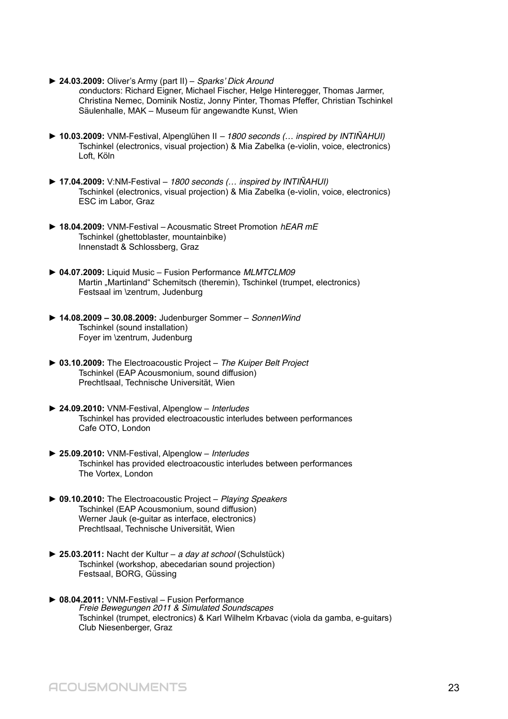- ► **24.03.2009:** Oliver's Army (part II) Sparks' Dick Around conductors: Richard Eigner, Michael Fischer, Helge Hinteregger, Thomas Jarmer, Christina Nemec, Dominik Nostiz, Jonny Pinter, Thomas Pfeffer, Christian Tschinkel Säulenhalle, MAK – Museum für angewandte Kunst, Wien
- ► **10.03.2009:** VNM-Festival, Alpenglühen II 1800 seconds (… inspired by INTIÑAHUI) Tschinkel (electronics, visual projection) & Mia Zabelka (e-violin, voice, electronics) Loft, Köln
- ► **17.04.2009:** V:NM-Festival 1800 seconds (… inspired by INTIÑAHUI) Tschinkel (electronics, visual projection) & Mia Zabelka (e-violin, voice, electronics) ESC im Labor, Graz
- ► **18.04.2009:** VNM-Festival Acousmatic Street Promotion hEAR mE Tschinkel (ghettoblaster, mountainbike) Innenstadt & Schlossberg, Graz
- ► **04.07.2009:** Liquid Music Fusion Performance MLMTCLM09 Martin "Martinland" Schemitsch (theremin), Tschinkel (trumpet, electronics) Festsaal im \zentrum, Judenburg
- ► **14.08.2009 30.08.2009:** Judenburger Sommer SonnenWind Tschinkel (sound installation) Foyer im \zentrum, Judenburg
- ► **03.10.2009:** The Electroacoustic Project The Kuiper Belt Project Tschinkel (EAP Acousmonium, sound diffusion) Prechtlsaal, Technische Universität, Wien
- ► **24.09.2010:** VNM-Festival, Alpenglow Interludes Tschinkel has provided electroacoustic interludes between performances Cafe OTO, London
- ► **25.09.2010:** VNM-Festival, Alpenglow Interludes Tschinkel has provided electroacoustic interludes between performances The Vortex, London
- ► **09.10.2010:** The Electroacoustic Project Playing Speakers Tschinkel (EAP Acousmonium, sound diffusion) Werner Jauk (e-guitar as interface, electronics) Prechtlsaal, Technische Universität, Wien
- ► **25.03.2011:** Nacht der Kultur a day at school (Schulstück) Tschinkel (workshop, abecedarian sound projection) Festsaal, BORG, Güssing
- ► **08.04.2011:** VNM-Festival Fusion Performance Freie Bewegungen 2011 & Simulated Soundscapes Tschinkel (trumpet, electronics) & Karl Wilhelm Krbavac (viola da gamba, e-guitars) Club Niesenberger, Graz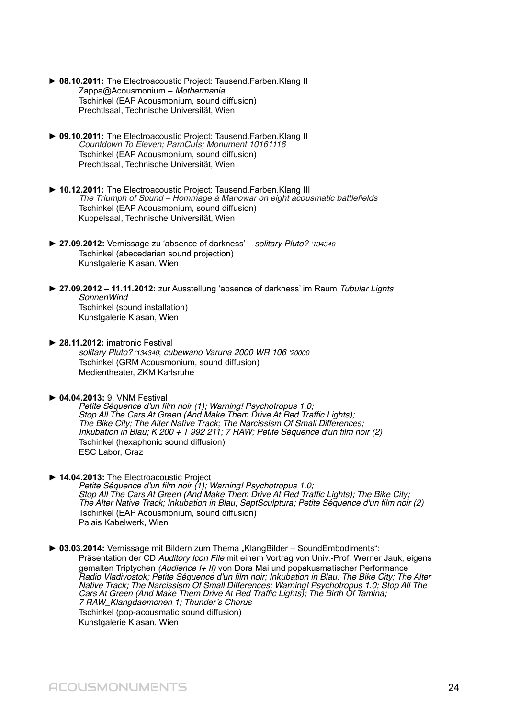- ► **08.10.2011:** The Electroacoustic Project: Tausend.Farben.Klang II Zappa@Acousmonium – Mothermania Tschinkel (EAP Acousmonium, sound diffusion) Prechtlsaal, Technische Universität, Wien
- ► **09.10.2011:** The Electroacoustic Project: Tausend.Farben.Klang II Countdown To Eleven; ParnCuts; Monument 10161116 Tschinkel (EAP Acousmonium, sound diffusion) Prechtlsaal, Technische Universität, Wien
- ► **10.12.2011:** The Electroacoustic Project: Tausend.Farben.Klang III The Triumph of Sound – Hommage à Manowar on eight acousmatic battlefields Tschinkel (EAP Acousmonium, sound diffusion) Kuppelsaal, Technische Universität, Wien
- ► **27.09.2012:** Vernissage zu 'absence of darkness' solitary Pluto? '134340 Tschinkel (abecedarian sound projection) Kunstgalerie Klasan, Wien
- ► **27.09.2012 11.11.2012:** zur Ausstellung 'absence of darkness' im Raum Tubular Lights SonnenWind Tschinkel (sound installation) Kunstgalerie Klasan, Wien
- ► **28.11.2012:** imatronic Festival solitary Pluto? '134340; cubewano Varuna 2000 WR 106 '20000 Tschinkel (GRM Acousmonium, sound diffusion) Medientheater, ZKM Karlsruhe
- ► **04.04.2013:** 9. VNM Festival

Petite Séquence d'un film noir (1); Warning! Psychotropus 1.0; Stop All The Cars At Green (And Make Them Drive At Red Traffic Lights); The Bike City; The Alter Native Track; The Narcissism Of Small Differences; Inkubation in Blau; K 200 + T 992 211; 7 RAW; Petite Séquence d'un film noir (2) Tschinkel (hexaphonic sound diffusion) ESC Labor, Graz

- ► **14.04.2013:** The Electroacoustic Project Petite Séquence d'un film noir (1); Warning! Psychotropus 1.0; Stop All The Cars At Green (And Make Them Drive At Red Traffic Lights); The Bike City; The Alter Native Track; Inkubation in Blau; SeptSculptura; Petite Séquence d'un film noir (2) Tschinkel (EAP Acousmonium, sound diffusion) Palais Kabelwerk, Wien
- ► 03.03.2014: Vernissage mit Bildern zum Thema "KlangBilder SoundEmbodiments": Präsentation der CD Auditory Icon File mit einem Vortrag von Univ.-Prof. Werner Jauk, eigens gemalten Triptychen (Audience I+ II) von Dora Mai und popakusmatischer Performance Radio Vladivostok; Petite Séquence d'un film noir; Inkubation in Blau; The Bike City; The Alter Native Track; The Narcissism Of Small Differences; Warning! Psychotropus 1.0; Stop All The Cars At Green (And Make Them Drive At Red Traffic Lights); The Birth Of Tamina; 7 RAW\_Klangdaemonen 1; Thunder's Chorus Tschinkel (pop-acousmatic sound diffusion) Kunstgalerie Klasan, Wien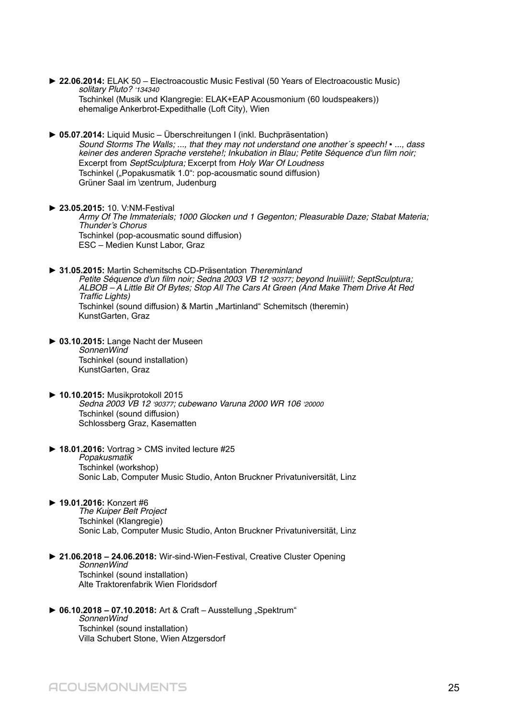- ► **22.06.2014:** ELAK 50 Electroacoustic Music Festival (50 Years of Electroacoustic Music) solitary Pluto? '134340 Tschinkel (Musik und Klangregie: ELAK+EAP Acousmonium (60 loudspeakers)) ehemalige Ankerbrot-Expedithalle (Loft City), Wien
- ► **05.07.2014:** Liquid Music Überschreitungen I (inkl. Buchpräsentation) Sound Storms The Walls; ..., that they may not understand one another's speech! • ..., dass keiner des anderen Sprache verstehe!; Inkubation in Blau; Petite Séquence d'un film noir; Excerpt from SeptSculptura; Excerpt from Holy War Of Loudness Tschinkel ("Popakusmatik 1.0": pop-acousmatic sound diffusion) Grüner Saal im \zentrum, Judenburg
- ► **23.05.2015:** 10. V:NM-Festival Army Of The Immaterials; 1000 Glocken und 1 Gegenton; Pleasurable Daze; Stabat Materia; Thunder's Chorus Tschinkel (pop-acousmatic sound diffusion) ESC – Medien Kunst Labor, Graz
- ► **31.05.2015:** Martin Schemitschs CD-Präsentation Thereminland Petite Séquence d'un film noir; Sedna 2003 VB 12 '90377; beyond Inuiiiiit!; SeptSculptura; ALBOB – A Little Bit Of Bytes; Stop All The Cars At Green (And Make Them Drive At Red Traffic Lights) Tschinkel (sound diffusion) & Martin "Martinland" Schemitsch (theremin) KunstGarten, Graz
- ► **03.10.2015:** Lange Nacht der Museen SonnenWind Tschinkel (sound installation) KunstGarten, Graz
- ► **10.10.2015:** Musikprotokoll 2015 Sedna 2003 VB 12 '90377; cubewano Varuna 2000 WR 106 '20000 Tschinkel (sound diffusion) Schlossberg Graz, Kasematten
- ► **18.01.2016:** Vortrag > CMS invited lecture #25 **Popakusmatik** Tschinkel (workshop) Sonic Lab, Computer Music Studio, Anton Bruckner Privatuniversität, Linz
- ► **19.01.2016:** Konzert #6

The Kuiper Belt Project Tschinkel (Klangregie) Sonic Lab, Computer Music Studio, Anton Bruckner Privatuniversität, Linz

- ► **21.06.2018 24.06.2018:** Wir-sind-Wien-Festival, Creative Cluster Opening SonnenWind Tschinkel (sound installation) Alte Traktorenfabrik Wien Floridsdorf
- ▶ 06.10.2018 07.10.2018: Art & Craft Ausstellung "Spektrum" SonnenWind Tschinkel (sound installation) Villa Schubert Stone, Wien Atzgersdorf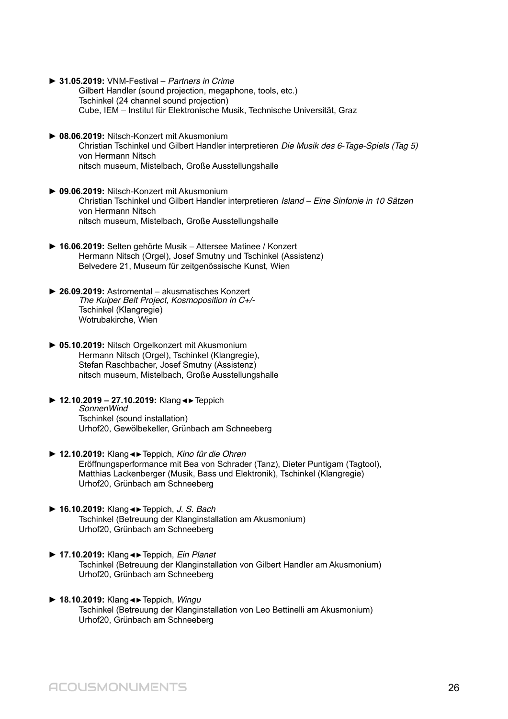- **► 31.05.2019:** VNM-Festival Partners in Crime
	- Gilbert Handler (sound projection, megaphone, tools, etc.) Tschinkel (24 channel sound projection) Cube, IEM – Institut für Elektronische Musik, Technische Universität, Graz
- **► 08.06.2019:** Nitsch-Konzert mit Akusmonium Christian Tschinkel und Gilbert Handler interpretieren Die Musik des 6-Tage-Spiels (Tag 5) von Hermann Nitsch nitsch museum, Mistelbach, Große Ausstellungshalle
- **► 09.06.2019:** Nitsch-Konzert mit Akusmonium Christian Tschinkel und Gilbert Handler interpretieren Island – Eine Sinfonie in 10 Sätzen von Hermann Nitsch nitsch museum, Mistelbach, Große Ausstellungshalle
- **► 16.06.2019:** Selten gehörte Musik Attersee Matinee / Konzert Hermann Nitsch (Orgel), Josef Smutny und Tschinkel (Assistenz) Belvedere 21, Museum für zeitgenössische Kunst, Wien
- **► 26.09.2019:** Astromental akusmatisches Konzert The Kuiper Belt Project, Kosmoposition in C+/- Tschinkel (Klangregie) Wotrubakirche, Wien
- **► 05.10.2019:** Nitsch Orgelkonzert mit Akusmonium Hermann Nitsch (Orgel), Tschinkel (Klangregie), Stefan Raschbacher, Josef Smutny (Assistenz) nitsch museum, Mistelbach, Große Ausstellungshalle
- ► **12.10.2019 27.10.2019:** Klang◄►Teppich SonnenWind Tschinkel (sound installation) Urhof20, Gewölbekeller, Grünbach am Schneeberg
- **► 12.10.2019:** Klang◄►Teppich, Kino für die Ohren Eröffnungsperformance mit Bea von Schrader (Tanz), Dieter Puntigam (Tagtool), Matthias Lackenberger (Musik, Bass und Elektronik), Tschinkel (Klangregie) Urhof20, Grünbach am Schneeberg
- **► 16.10.2019:** Klang◄►Teppich, J. S. Bach Tschinkel (Betreuung der Klanginstallation am Akusmonium) Urhof20, Grünbach am Schneeberg
- **► 17.10.2019:** Klang◄►Teppich, Ein Planet Tschinkel (Betreuung der Klanginstallation von Gilbert Handler am Akusmonium) Urhof20, Grünbach am Schneeberg
- **► 18.10.2019:** Klang◄►Teppich, Wingu Tschinkel (Betreuung der Klanginstallation von Leo Bettinelli am Akusmonium) Urhof20, Grünbach am Schneeberg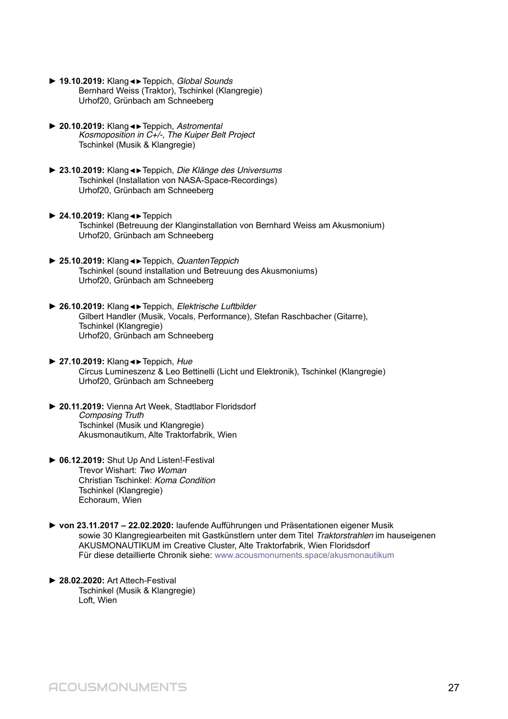- **► 19.10.2019:** Klang◄►Teppich, Global Sounds Bernhard Weiss (Traktor), Tschinkel (Klangregie) Urhof20, Grünbach am Schneeberg
- **► 20.10.2019:** Klang◄►Teppich, Astromental Kosmoposition in C+/-, The Kuiper Belt Project Tschinkel (Musik & Klangregie)
- **► 23.10.2019:** Klang◄►Teppich, Die Klänge des Universums Tschinkel (Installation von NASA-Space-Recordings) Urhof20, Grünbach am Schneeberg
- **► 24.10.2019:** Klang◄►Teppich Tschinkel (Betreuung der Klanginstallation von Bernhard Weiss am Akusmonium) Urhof20, Grünbach am Schneeberg
- **► 25.10.2019:** Klang◄►Teppich, QuantenTeppich Tschinkel (sound installation und Betreuung des Akusmoniums) Urhof20, Grünbach am Schneeberg
- **► 26.10.2019:** Klang◄►Teppich, Elektrische Luftbilder Gilbert Handler (Musik, Vocals, Performance), Stefan Raschbacher (Gitarre), Tschinkel (Klangregie) Urhof20, Grünbach am Schneeberg
- **► 27.10.2019:** Klang◄►Teppich, Hue Circus Lumineszenz & Leo Bettinelli (Licht und Elektronik), Tschinkel (Klangregie) Urhof20, Grünbach am Schneeberg
- **► 20.11.2019:** Vienna Art Week, Stadtlabor Floridsdorf Composing Truth Tschinkel (Musik und Klangregie) Akusmonautikum, Alte Traktorfabrik, Wien
- **► 06.12.2019:** Shut Up And Listen!-Festival Trevor Wishart: Two Woman Christian Tschinkel: Koma Condition Tschinkel (Klangregie) Echoraum, Wien
- **► von 23.11.2017 22.02.2020:** laufende Aufführungen und Präsentationen eigener Musik sowie 30 Klangregiearbeiten mit Gastkünstlern unter dem Titel Traktorstrahlen im hauseigenen AKUSMONAUTIKUM im Creative Cluster, Alte Traktorfabrik, Wien Floridsdorf Für diese detaillierte Chronik siehe: www.acousmonuments.space/akusmonautikum
- **► 28.02.2020:** Art Attech-Festival Tschinkel (Musik & Klangregie) Loft, Wien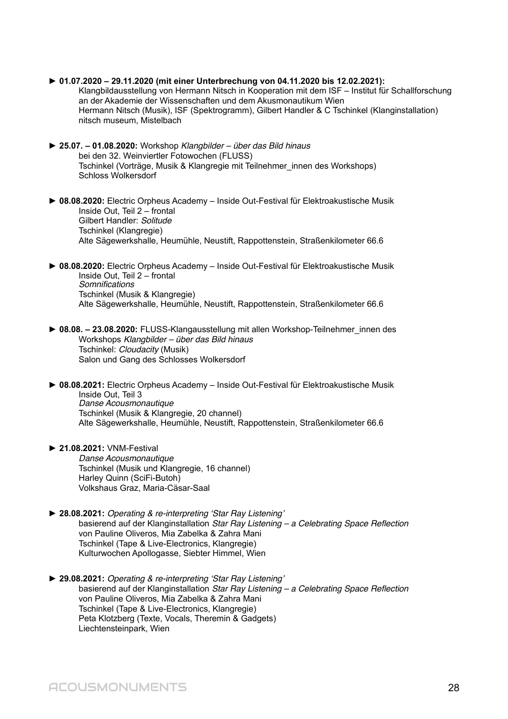- **► 01.07.2020 29.11.2020 (mit einer Unterbrechung von 04.11.2020 bis 12.02.2021):** Klangbildausstellung von Hermann Nitsch in Kooperation mit dem ISF – Institut für Schallforschung an der Akademie der Wissenschaften und dem Akusmonautikum Wien Hermann Nitsch (Musik), ISF (Spektrogramm), Gilbert Handler & C Tschinkel (Klanginstallation) nitsch museum, Mistelbach
- **► 25.07. 01.08.2020:** Workshop Klangbilder über das Bild hinaus bei den 32. Weinviertler Fotowochen (FLUSS) Tschinkel (Vorträge, Musik & Klangregie mit Teilnehmer\_innen des Workshops) Schloss Wolkersdorf
- **► 08.08.2020:** Electric Orpheus Academy Inside Out-Festival für Elektroakustische Musik Inside Out, Teil 2 – frontal Gilbert Handler: Solitude Tschinkel (Klangregie) Alte Sägewerkshalle, Heumühle, Neustift, Rappottenstein, Straßenkilometer 66.6
- **► 08.08.2020:** Electric Orpheus Academy Inside Out-Festival für Elektroakustische Musik Inside Out, Teil 2 – frontal **Somnifications** Tschinkel (Musik & Klangregie) Alte Sägewerkshalle, Heumühle, Neustift, Rappottenstein, Straßenkilometer 66.6
- **► 08.08. 23.08.2020:** FLUSS-Klangausstellung mit allen Workshop-Teilnehmer\_innen des Workshops Klangbilder – über das Bild hinaus Tschinkel: Cloudacity (Musik) Salon und Gang des Schlosses Wolkersdorf
- **► 08.08.2021:** Electric Orpheus Academy Inside Out-Festival für Elektroakustische Musik Inside Out, Teil 3 Danse Acousmonautique Tschinkel (Musik & Klangregie, 20 channel) Alte Sägewerkshalle, Heumühle, Neustift, Rappottenstein, Straßenkilometer 66.6
- **► 21.08.2021:** VNM-Festival Danse Acousmonautique Tschinkel (Musik und Klangregie, 16 channel) Harley Quinn (SciFi-Butoh) Volkshaus Graz, Maria-Cäsar-Saal
- **► 28.08.2021:** Operating & re-interpreting 'Star Ray Listening' basierend auf der Klanginstallation Star Ray Listening – a Celebrating Space Reflection von Pauline Oliveros, Mia Zabelka & Zahra Mani Tschinkel (Tape & Live-Electronics, Klangregie) Kulturwochen Apollogasse, Siebter Himmel, Wien
- **► 29.08.2021:** Operating & re-interpreting 'Star Ray Listening' basierend auf der Klanginstallation Star Ray Listening – a Celebrating Space Reflection von Pauline Oliveros, Mia Zabelka & Zahra Mani Tschinkel (Tape & Live-Electronics, Klangregie) Peta Klotzberg (Texte, Vocals, Theremin & Gadgets) Liechtensteinpark, Wien